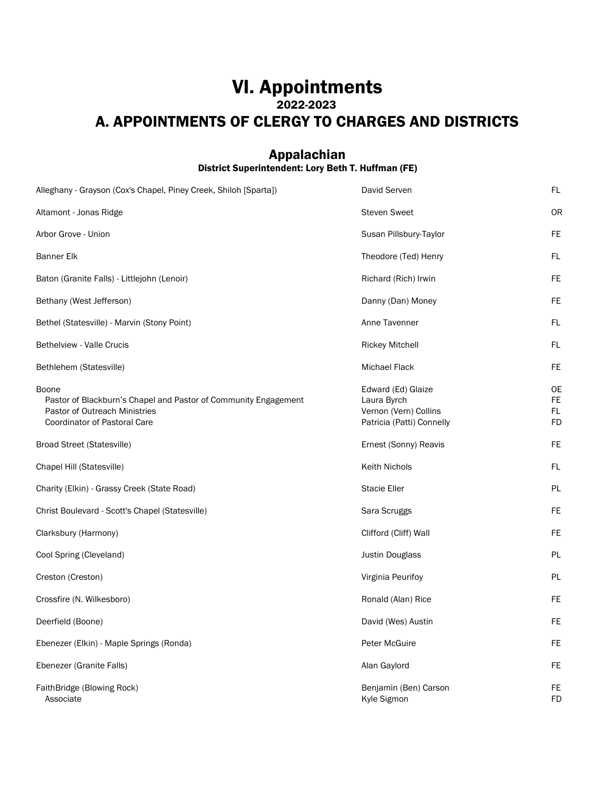## VI. Appointments 2022-2023 A. APPOINTMENTS OF CLERGY TO CHARGES AND DISTRICTS

#### Appalachian District Superintendent: Lory Beth T. Huffman (FE)

| Alleghany - Grayson (Cox's Chapel, Piney Creek, Shiloh [Sparta])                                                                                 | David Serven                                                                            | FL                                  |
|--------------------------------------------------------------------------------------------------------------------------------------------------|-----------------------------------------------------------------------------------------|-------------------------------------|
| Altamont - Jonas Ridge                                                                                                                           | <b>Steven Sweet</b>                                                                     | OR                                  |
| Arbor Grove - Union                                                                                                                              | Susan Pillsbury-Taylor                                                                  | FE.                                 |
| <b>Banner Elk</b>                                                                                                                                | Theodore (Ted) Henry                                                                    | <b>FL</b>                           |
| Baton (Granite Falls) - Littlejohn (Lenoir)                                                                                                      | Richard (Rich) Irwin                                                                    | FE                                  |
| Bethany (West Jefferson)                                                                                                                         | Danny (Dan) Money                                                                       | FE                                  |
| Bethel (Statesville) - Marvin (Stony Point)                                                                                                      | Anne Tavenner                                                                           | FL                                  |
| <b>Bethelview - Valle Crucis</b>                                                                                                                 | <b>Rickey Mitchell</b>                                                                  | FL                                  |
| Bethlehem (Statesville)                                                                                                                          | <b>Michael Flack</b>                                                                    | FE.                                 |
| Boone<br>Pastor of Blackburn's Chapel and Pastor of Community Engagement<br>Pastor of Outreach Ministries<br><b>Coordinator of Pastoral Care</b> | Edward (Ed) Glaize<br>Laura Byrch<br>Vernon (Vern) Collins<br>Patricia (Patti) Connelly | <b>OE</b><br>FE.<br>FL<br><b>FD</b> |
| <b>Broad Street (Statesville)</b>                                                                                                                | Ernest (Sonny) Reavis                                                                   | FE.                                 |
| Chapel Hill (Statesville)                                                                                                                        | <b>Keith Nichols</b>                                                                    | <b>FL</b>                           |
| Charity (Elkin) - Grassy Creek (State Road)                                                                                                      | <b>Stacie Eller</b>                                                                     | PL                                  |
| Christ Boulevard - Scott's Chapel (Statesville)                                                                                                  | Sara Scruggs                                                                            | FE                                  |
| Clarksbury (Harmony)                                                                                                                             | Clifford (Cliff) Wall                                                                   | <b>FE</b>                           |
| Cool Spring (Cleveland)                                                                                                                          | <b>Justin Douglass</b>                                                                  | PL                                  |
| Creston (Creston)                                                                                                                                | Virginia Peurifoy                                                                       | PL                                  |
| Crossfire (N. Wilkesboro)                                                                                                                        | Ronald (Alan) Rice                                                                      | FE                                  |
| Deerfield (Boone)                                                                                                                                | David (Wes) Austin                                                                      | <b>FE</b>                           |
| Ebenezer (Elkin) - Maple Springs (Ronda)                                                                                                         | Peter McGuire                                                                           | <b>FE</b>                           |
| Ebenezer (Granite Falls)                                                                                                                         | Alan Gaylord                                                                            | <b>FE</b>                           |
| FaithBridge (Blowing Rock)<br>Associate                                                                                                          | Benjamin (Ben) Carson<br>Kyle Sigmon                                                    | <b>FE</b><br><b>FD</b>              |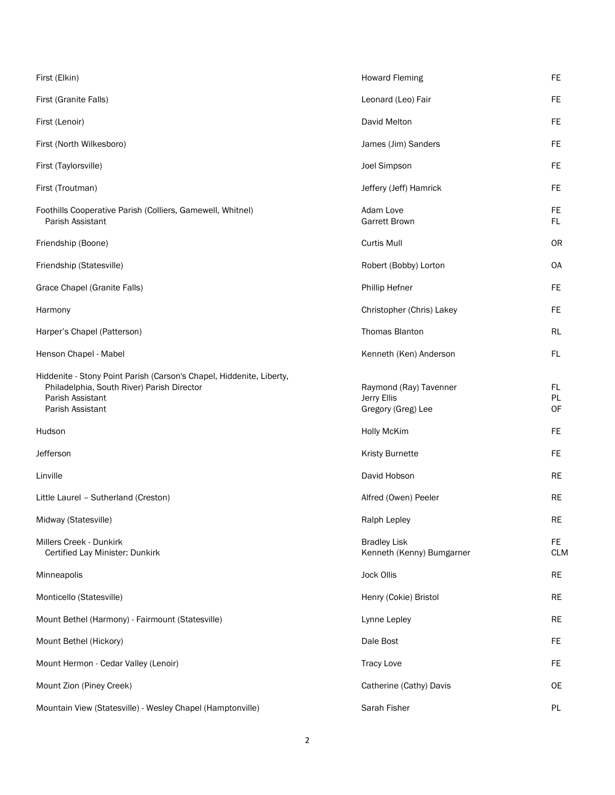| First (Elkin)                                                                                                                                              | <b>Howard Fleming</b>                                       | <b>FE</b>         |
|------------------------------------------------------------------------------------------------------------------------------------------------------------|-------------------------------------------------------------|-------------------|
| First (Granite Falls)                                                                                                                                      | Leonard (Leo) Fair                                          | FE.               |
| First (Lenoir)                                                                                                                                             | David Melton                                                | FE.               |
| First (North Wilkesboro)                                                                                                                                   | James (Jim) Sanders                                         | <b>FE</b>         |
| First (Taylorsville)                                                                                                                                       | Joel Simpson                                                | FE.               |
| First (Troutman)                                                                                                                                           | Jeffery (Jeff) Hamrick                                      | FE.               |
| Foothills Cooperative Parish (Colliers, Gamewell, Whitnel)<br>Parish Assistant                                                                             | Adam Love<br><b>Garrett Brown</b>                           | FE<br>FL.         |
| Friendship (Boone)                                                                                                                                         | Curtis Mull                                                 | 0R                |
| Friendship (Statesville)                                                                                                                                   | Robert (Bobby) Lorton                                       | <b>OA</b>         |
| Grace Chapel (Granite Falls)                                                                                                                               | <b>Phillip Hefner</b>                                       | FE.               |
| Harmony                                                                                                                                                    | Christopher (Chris) Lakey                                   | FE.               |
| Harper's Chapel (Patterson)                                                                                                                                | Thomas Blanton                                              | RL                |
| Henson Chapel - Mabel                                                                                                                                      | Kenneth (Ken) Anderson                                      | FL.               |
| Hiddenite - Stony Point Parish (Carson's Chapel, Hiddenite, Liberty,<br>Philadelphia, South River) Parish Director<br>Parish Assistant<br>Parish Assistant | Raymond (Ray) Tavenner<br>Jerry Ellis<br>Gregory (Greg) Lee | FL.<br>PL<br>OF   |
| Hudson                                                                                                                                                     | <b>Holly McKim</b>                                          | <b>FE</b>         |
| Jefferson                                                                                                                                                  | <b>Kristy Burnette</b>                                      | FE.               |
| Linville                                                                                                                                                   | David Hobson                                                | <b>RE</b>         |
| Little Laurel - Sutherland (Creston)                                                                                                                       | Alfred (Owen) Peeler                                        | RE                |
| Midway (Statesville)                                                                                                                                       | Ralph Lepley                                                | $\sf RE$          |
| Millers Creek - Dunkirk<br>Certified Lay Minister: Dunkirk                                                                                                 | <b>Bradley Lisk</b><br>Kenneth (Kenny) Bumgarner            | FE.<br><b>CLM</b> |
| Minneapolis                                                                                                                                                | <b>Jock Ollis</b>                                           | <b>RE</b>         |
| Monticello (Statesville)                                                                                                                                   | Henry (Cokie) Bristol                                       | <b>RE</b>         |
| Mount Bethel (Harmony) - Fairmount (Statesville)                                                                                                           | Lynne Lepley                                                | <b>RE</b>         |
| Mount Bethel (Hickory)                                                                                                                                     | Dale Bost                                                   | FE.               |
| Mount Hermon - Cedar Valley (Lenoir)                                                                                                                       | <b>Tracy Love</b>                                           | FE.               |
| Mount Zion (Piney Creek)                                                                                                                                   | Catherine (Cathy) Davis                                     | 0E                |
| Mountain View (Statesville) - Wesley Chapel (Hamptonville)                                                                                                 | Sarah Fisher                                                | PL                |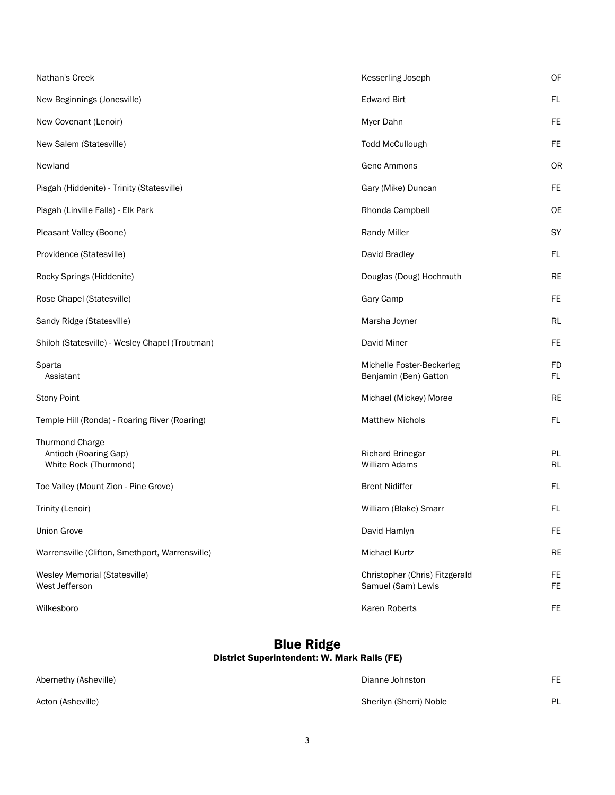| Nathan's Creek                                                    | Kesserling Joseph                                    | OF              |
|-------------------------------------------------------------------|------------------------------------------------------|-----------------|
| New Beginnings (Jonesville)                                       | <b>Edward Birt</b>                                   | FL              |
| New Covenant (Lenoir)                                             | Myer Dahn                                            | <b>FE</b>       |
| New Salem (Statesville)                                           | <b>Todd McCullough</b>                               | <b>FE</b>       |
| Newland                                                           | Gene Ammons                                          | OR              |
| Pisgah (Hiddenite) - Trinity (Statesville)                        | Gary (Mike) Duncan                                   | <b>FE</b>       |
| Pisgah (Linville Falls) - Elk Park                                | Rhonda Campbell                                      | <b>OE</b>       |
| Pleasant Valley (Boone)                                           | <b>Randy Miller</b>                                  | SY              |
| Providence (Statesville)                                          | David Bradley                                        | FL              |
| Rocky Springs (Hiddenite)                                         | Douglas (Doug) Hochmuth                              | <b>RE</b>       |
| Rose Chapel (Statesville)                                         | Gary Camp                                            | <b>FE</b>       |
| Sandy Ridge (Statesville)                                         | Marsha Joyner                                        | <b>RL</b>       |
| Shiloh (Statesville) - Wesley Chapel (Troutman)                   | David Miner                                          | <b>FE</b>       |
| Sparta<br>Assistant                                               | Michelle Foster-Beckerleg<br>Benjamin (Ben) Gatton   | <b>FD</b><br>FL |
| <b>Stony Point</b>                                                | Michael (Mickey) Moree                               | <b>RE</b>       |
| Temple Hill (Ronda) - Roaring River (Roaring)                     | <b>Matthew Nichols</b>                               | FL              |
| Thurmond Charge<br>Antioch (Roaring Gap)<br>White Rock (Thurmond) | <b>Richard Brinegar</b><br>William Adams             | PL<br><b>RL</b> |
| Toe Valley (Mount Zion - Pine Grove)                              | <b>Brent Nidiffer</b>                                | FL              |
| Trinity (Lenoir)                                                  | William (Blake) Smarr                                | FL              |
| <b>Union Grove</b>                                                | David Hamlyn                                         | <b>FE</b>       |
| Warrensville (Clifton, Smethport, Warrensville)                   | Michael Kurtz                                        | RE              |
| Wesley Memorial (Statesville)<br>West Jefferson                   | Christopher (Chris) Fitzgerald<br>Samuel (Sam) Lewis | FE<br><b>FE</b> |
| Wilkesboro                                                        | Karen Roberts                                        | FE              |

#### Blue Ridge District Superintendent: W. Mark Ralls (FE)

| Abernethy (Asheville) | Dianne Johnston         | FF |
|-----------------------|-------------------------|----|
| Acton (Asheville)     | Sherilyn (Sherri) Noble | PI |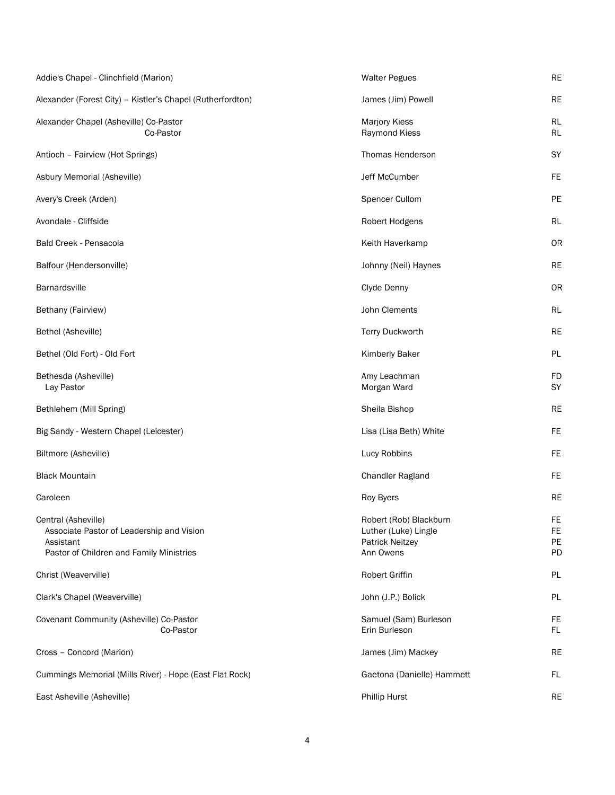| Addie's Chapel - Clinchfield (Marion)                                                                                     | <b>Walter Pegues</b>                                                                  | <b>RE</b>                   |
|---------------------------------------------------------------------------------------------------------------------------|---------------------------------------------------------------------------------------|-----------------------------|
| Alexander (Forest City) - Kistler's Chapel (Rutherfordton)                                                                | James (Jim) Powell                                                                    | <b>RE</b>                   |
| Alexander Chapel (Asheville) Co-Pastor<br>Co-Pastor                                                                       | <b>Marjory Kiess</b><br>Raymond Kiess                                                 | <b>RL</b><br><b>RL</b>      |
| Antioch - Fairview (Hot Springs)                                                                                          | Thomas Henderson                                                                      | SY                          |
| Asbury Memorial (Asheville)                                                                                               | Jeff McCumber                                                                         | <b>FE</b>                   |
| Avery's Creek (Arden)                                                                                                     | Spencer Cullom                                                                        | PE                          |
| Avondale - Cliffside                                                                                                      | Robert Hodgens                                                                        | <b>RL</b>                   |
| Bald Creek - Pensacola                                                                                                    | Keith Haverkamp                                                                       | <b>OR</b>                   |
| Balfour (Hendersonville)                                                                                                  | Johnny (Neil) Haynes                                                                  | <b>RE</b>                   |
| <b>Barnardsville</b>                                                                                                      | Clyde Denny                                                                           | OR                          |
| Bethany (Fairview)                                                                                                        | John Clements                                                                         | RL                          |
| Bethel (Asheville)                                                                                                        | Terry Duckworth                                                                       | <b>RE</b>                   |
| Bethel (Old Fort) - Old Fort                                                                                              | <b>Kimberly Baker</b>                                                                 | PL                          |
| Bethesda (Asheville)<br>Lay Pastor                                                                                        | Amy Leachman<br>Morgan Ward                                                           | <b>FD</b><br>SY             |
| Bethlehem (Mill Spring)                                                                                                   | Sheila Bishop                                                                         | <b>RE</b>                   |
| Big Sandy - Western Chapel (Leicester)                                                                                    | Lisa (Lisa Beth) White                                                                | <b>FE</b>                   |
| Biltmore (Asheville)                                                                                                      | Lucy Robbins                                                                          | <b>FE</b>                   |
| <b>Black Mountain</b>                                                                                                     | Chandler Ragland                                                                      | <b>FE</b>                   |
| Caroleen                                                                                                                  | Roy Byers                                                                             | <b>RE</b>                   |
| Central (Asheville)<br>Associate Pastor of Leadership and Vision<br>Assistant<br>Pastor of Children and Family Ministries | Robert (Rob) Blackburn<br>Luther (Luke) Lingle<br><b>Patrick Neitzey</b><br>Ann Owens | <b>FE</b><br>FE<br>PE<br>PD |
| Christ (Weaverville)                                                                                                      | Robert Griffin                                                                        | PL                          |
| Clark's Chapel (Weaverville)                                                                                              | John (J.P.) Bolick                                                                    | PL                          |
| Covenant Community (Asheville) Co-Pastor<br>Co-Pastor                                                                     | Samuel (Sam) Burleson<br>Erin Burleson                                                | FE<br>FL                    |
| Cross - Concord (Marion)                                                                                                  | James (Jim) Mackey                                                                    | <b>RE</b>                   |
| Cummings Memorial (Mills River) - Hope (East Flat Rock)                                                                   | Gaetona (Danielle) Hammett                                                            | FL.                         |
| East Asheville (Asheville)                                                                                                | <b>Phillip Hurst</b>                                                                  | <b>RE</b>                   |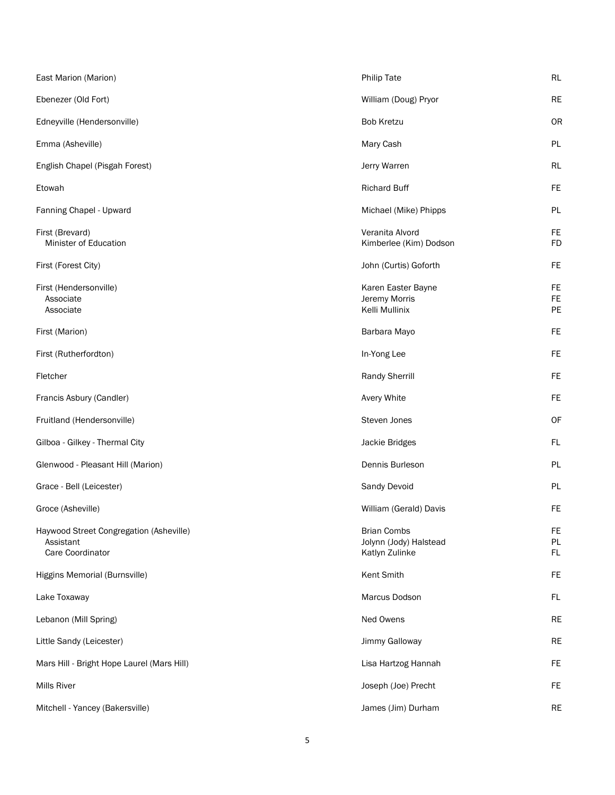| East Marion (Marion)                                                     | <b>Philip Tate</b>                                             | RL                    |
|--------------------------------------------------------------------------|----------------------------------------------------------------|-----------------------|
| Ebenezer (Old Fort)                                                      | William (Doug) Pryor                                           | <b>RE</b>             |
| Edneyville (Hendersonville)                                              | <b>Bob Kretzu</b>                                              | OR                    |
| Emma (Asheville)                                                         | Mary Cash                                                      | PL                    |
| English Chapel (Pisgah Forest)                                           | Jerry Warren                                                   | <b>RL</b>             |
| Etowah                                                                   | <b>Richard Buff</b>                                            | FE                    |
| Fanning Chapel - Upward                                                  | Michael (Mike) Phipps                                          | PL                    |
| First (Brevard)<br>Minister of Education                                 | Veranita Alvord<br>Kimberlee (Kim) Dodson                      | FE<br><b>FD</b>       |
| First (Forest City)                                                      | John (Curtis) Goforth                                          | FE                    |
| First (Hendersonville)<br>Associate<br>Associate                         | Karen Easter Bayne<br>Jeremy Morris<br>Kelli Mullinix          | FE<br><b>FE</b><br>PE |
| First (Marion)                                                           | Barbara Mayo                                                   | <b>FE</b>             |
| First (Rutherfordton)                                                    | In-Yong Lee                                                    | FE                    |
| Fletcher                                                                 | Randy Sherrill                                                 | <b>FE</b>             |
| Francis Asbury (Candler)                                                 | Avery White                                                    | FE                    |
| Fruitland (Hendersonville)                                               | Steven Jones                                                   | OF                    |
| Gilboa - Gilkey - Thermal City                                           | Jackie Bridges                                                 | FL.                   |
| Glenwood - Pleasant Hill (Marion)                                        | Dennis Burleson                                                | PL                    |
| Grace - Bell (Leicester)                                                 | Sandy Devoid                                                   | PL                    |
| Groce (Asheville)                                                        | William (Gerald) Davis                                         | <b>FE</b>             |
| Haywood Street Congregation (Asheville)<br>Assistant<br>Care Coordinator | <b>Brian Combs</b><br>Jolynn (Jody) Halstead<br>Katlyn Zulinke | FE<br>PL<br>FL.       |
| Higgins Memorial (Burnsville)                                            | Kent Smith                                                     | <b>FE</b>             |
| Lake Toxaway                                                             | Marcus Dodson                                                  | FL                    |
| Lebanon (Mill Spring)                                                    | Ned Owens                                                      | <b>RE</b>             |
| Little Sandy (Leicester)                                                 | Jimmy Galloway                                                 | <b>RE</b>             |
| Mars Hill - Bright Hope Laurel (Mars Hill)                               | Lisa Hartzog Hannah                                            | <b>FE</b>             |
| Mills River                                                              | Joseph (Joe) Precht                                            | FE                    |
| Mitchell - Yancey (Bakersville)                                          | James (Jim) Durham                                             | RE                    |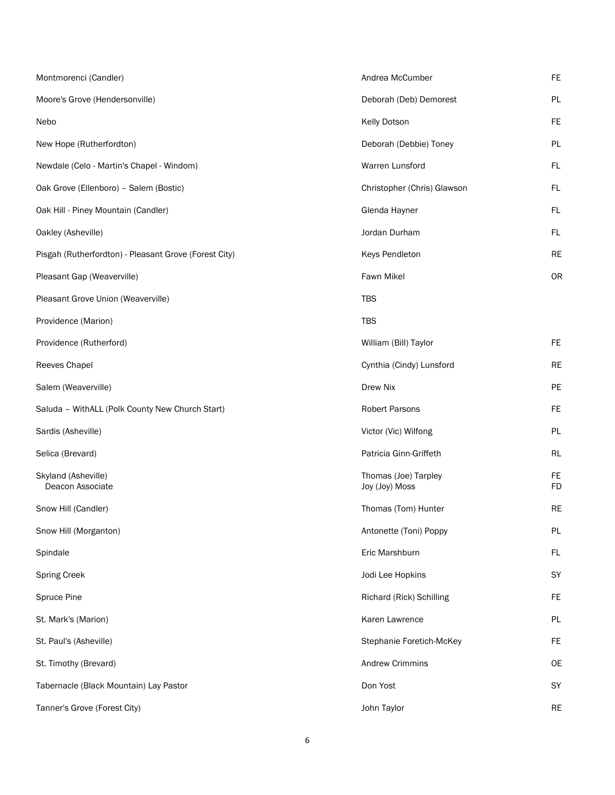| Montmorenci (Candler)                                 | Andrea McCumber                        | <b>FE</b>              |
|-------------------------------------------------------|----------------------------------------|------------------------|
| Moore's Grove (Hendersonville)                        | Deborah (Deb) Demorest                 | PL                     |
| Nebo                                                  | Kelly Dotson                           | <b>FE</b>              |
| New Hope (Rutherfordton)                              | Deborah (Debbie) Toney                 | <b>PL</b>              |
| Newdale (Celo - Martin's Chapel - Windom)             | Warren Lunsford                        | <b>FL</b>              |
| Oak Grove (Ellenboro) - Salem (Bostic)                | Christopher (Chris) Glawson            | <b>FL</b>              |
| Oak Hill - Piney Mountain (Candler)                   | Glenda Hayner                          | FL                     |
| Oakley (Asheville)                                    | Jordan Durham                          | FL                     |
| Pisgah (Rutherfordton) - Pleasant Grove (Forest City) | Keys Pendleton                         | <b>RE</b>              |
| Pleasant Gap (Weaverville)                            | Fawn Mikel                             | <b>OR</b>              |
| Pleasant Grove Union (Weaverville)                    | <b>TBS</b>                             |                        |
| Providence (Marion)                                   | <b>TBS</b>                             |                        |
| Providence (Rutherford)                               | William (Bill) Taylor                  | <b>FE</b>              |
| Reeves Chapel                                         | Cynthia (Cindy) Lunsford               | <b>RE</b>              |
| Salem (Weaverville)                                   | Drew Nix                               | PE                     |
| Saluda - WithALL (Polk County New Church Start)       | Robert Parsons                         | <b>FE</b>              |
| Sardis (Asheville)                                    | Victor (Vic) Wilfong                   | PL                     |
| Selica (Brevard)                                      | Patricia Ginn-Griffeth                 | <b>RL</b>              |
| Skyland (Asheville)<br>Deacon Associate               | Thomas (Joe) Tarpley<br>Joy (Joy) Moss | <b>FE</b><br><b>FD</b> |
| Snow Hill (Candler)                                   | Thomas (Tom) Hunter                    | <b>RE</b>              |
| Snow Hill (Morganton)                                 | Antonette (Toni) Poppy                 | PL                     |
| Spindale                                              | Eric Marshburn                         | FL                     |
| <b>Spring Creek</b>                                   | Jodi Lee Hopkins                       | SY                     |
| Spruce Pine                                           | Richard (Rick) Schilling               | FE                     |
| St. Mark's (Marion)                                   | Karen Lawrence                         | PL                     |
| St. Paul's (Asheville)                                | Stephanie Foretich-McKey               | FE                     |
| St. Timothy (Brevard)                                 | <b>Andrew Crimmins</b>                 | <b>OE</b>              |
| Tabernacle (Black Mountain) Lay Pastor                | Don Yost                               | SY                     |
| Tanner's Grove (Forest City)                          | John Taylor                            | <b>RE</b>              |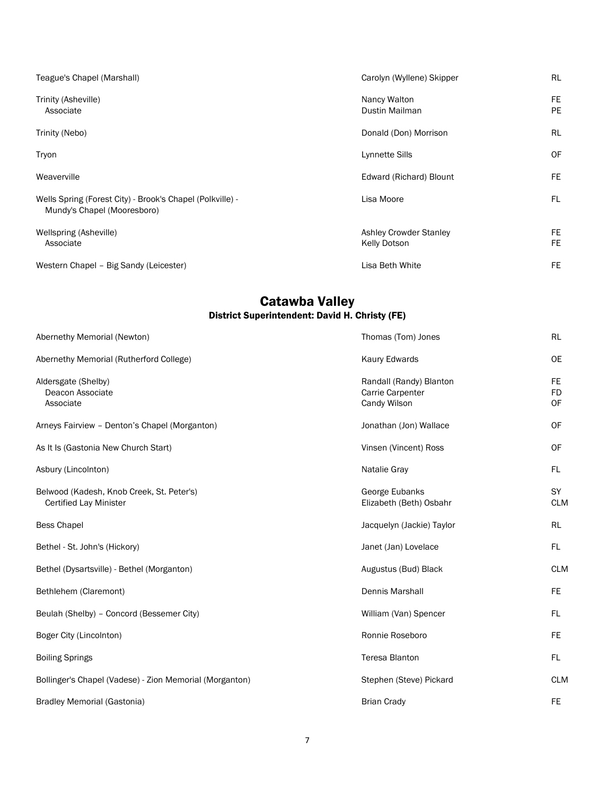| Teague's Chapel (Marshall)                                                               | Carolyn (Wyllene) Skipper                            | RL                     |
|------------------------------------------------------------------------------------------|------------------------------------------------------|------------------------|
| Trinity (Asheville)<br>Associate                                                         | Nancy Walton<br>Dustin Mailman                       | <b>FE</b><br>PE        |
| Trinity (Nebo)                                                                           | Donald (Don) Morrison                                | RL                     |
| Tryon                                                                                    | <b>Lynnette Sills</b>                                | OF                     |
| Weaverville                                                                              | Edward (Richard) Blount                              | FE                     |
| Wells Spring (Forest City) - Brook's Chapel (Polkville) -<br>Mundy's Chapel (Mooresboro) | Lisa Moore                                           | FL                     |
| Wellspring (Asheville)<br>Associate                                                      | <b>Ashley Crowder Stanley</b><br><b>Kelly Dotson</b> | <b>FE</b><br><b>FE</b> |
| Western Chapel - Big Sandy (Leicester)                                                   | Lisa Beth White                                      | FE                     |

#### Catawba Valley District Superintendent: David H. Christy (FE)

| Abernethy Memorial (Newton)                                                | Thomas (Tom) Jones                                          | <b>RL</b>                     |
|----------------------------------------------------------------------------|-------------------------------------------------------------|-------------------------------|
| Abernethy Memorial (Rutherford College)                                    | Kaury Edwards                                               | <b>OE</b>                     |
| Aldersgate (Shelby)<br>Deacon Associate<br>Associate                       | Randall (Randy) Blanton<br>Carrie Carpenter<br>Candy Wilson | FE.<br><b>FD</b><br><b>OF</b> |
| Arneys Fairview - Denton's Chapel (Morganton)                              | Jonathan (Jon) Wallace                                      | 0F                            |
| As It Is (Gastonia New Church Start)                                       | Vinsen (Vincent) Ross                                       | 0F                            |
| Asbury (Lincolnton)                                                        | Natalie Gray                                                | FL.                           |
| Belwood (Kadesh, Knob Creek, St. Peter's)<br><b>Certified Lay Minister</b> | George Eubanks<br>Elizabeth (Beth) Osbahr                   | SY<br><b>CLM</b>              |
| <b>Bess Chapel</b>                                                         | Jacquelyn (Jackie) Taylor                                   | <b>RL</b>                     |
| Bethel - St. John's (Hickory)                                              | Janet (Jan) Lovelace                                        | FL.                           |
| Bethel (Dysartsville) - Bethel (Morganton)                                 | Augustus (Bud) Black                                        | <b>CLM</b>                    |
| Bethlehem (Claremont)                                                      | <b>Dennis Marshall</b>                                      | FE.                           |
| Beulah (Shelby) - Concord (Bessemer City)                                  | William (Van) Spencer                                       | FL.                           |
| Boger City (Lincolnton)                                                    | Ronnie Roseboro                                             | FE.                           |
| <b>Boiling Springs</b>                                                     | <b>Teresa Blanton</b>                                       | FL.                           |
| Bollinger's Chapel (Vadese) - Zion Memorial (Morganton)                    | Stephen (Steve) Pickard                                     | <b>CLM</b>                    |
| <b>Bradley Memorial (Gastonia)</b>                                         | <b>Brian Crady</b>                                          | FE.                           |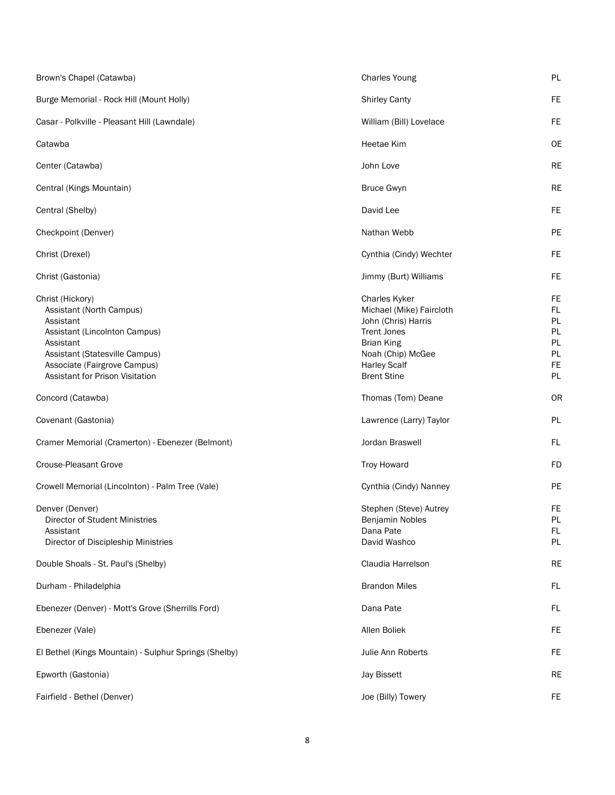| Brown's Chapel (Catawba)                                                                                                                                                                                     | <b>Charles Young</b>                                                                                                                                                                 | PL                                                          |
|--------------------------------------------------------------------------------------------------------------------------------------------------------------------------------------------------------------|--------------------------------------------------------------------------------------------------------------------------------------------------------------------------------------|-------------------------------------------------------------|
| Burge Memorial - Rock Hill (Mount Holly)                                                                                                                                                                     | <b>Shirley Canty</b>                                                                                                                                                                 | FE                                                          |
| Casar - Polkville - Pleasant Hill (Lawndale)                                                                                                                                                                 | William (Bill) Lovelace                                                                                                                                                              | <b>FE</b>                                                   |
| Catawba                                                                                                                                                                                                      | <b>Heetae Kim</b>                                                                                                                                                                    | <b>OE</b>                                                   |
| Center (Catawba)                                                                                                                                                                                             | John Love                                                                                                                                                                            | <b>RE</b>                                                   |
| Central (Kings Mountain)                                                                                                                                                                                     | <b>Bruce Gwyn</b>                                                                                                                                                                    | <b>RE</b>                                                   |
| Central (Shelby)                                                                                                                                                                                             | David Lee                                                                                                                                                                            | FE.                                                         |
| Checkpoint (Denver)                                                                                                                                                                                          | Nathan Webb                                                                                                                                                                          | PE                                                          |
| Christ (Drexel)                                                                                                                                                                                              | Cynthia (Cindy) Wechter                                                                                                                                                              | FE                                                          |
| Christ (Gastonia)                                                                                                                                                                                            | Jimmy (Burt) Williams                                                                                                                                                                | FE                                                          |
| Christ (Hickory)<br>Assistant (North Campus)<br>Assistant<br>Assistant (Lincolnton Campus)<br>Assistant<br>Assistant (Statesville Campus)<br>Associate (Fairgrove Campus)<br>Assistant for Prison Visitation | <b>Charles Kyker</b><br>Michael (Mike) Faircloth<br>John (Chris) Harris<br><b>Trent Jones</b><br><b>Brian King</b><br>Noah (Chip) McGee<br><b>Harley Scalf</b><br><b>Brent Stine</b> | FE<br>FL.<br>PL<br>PL<br>PL<br>PL<br><b>FE</b><br><b>PL</b> |
| Concord (Catawba)                                                                                                                                                                                            | Thomas (Tom) Deane                                                                                                                                                                   | OR                                                          |
| Covenant (Gastonia)                                                                                                                                                                                          | Lawrence (Larry) Taylor                                                                                                                                                              | PL                                                          |
| Cramer Memorial (Cramerton) - Ebenezer (Belmont)                                                                                                                                                             | Jordan Braswell                                                                                                                                                                      | FL                                                          |
| <b>Crouse-Pleasant Grove</b>                                                                                                                                                                                 | <b>Troy Howard</b>                                                                                                                                                                   | <b>FD</b>                                                   |
| Crowell Memorial (Lincolnton) - Palm Tree (Vale)                                                                                                                                                             | Cynthia (Cindy) Nanney                                                                                                                                                               | PE                                                          |
| Denver (Denver)<br>Director of Student Ministries<br>Assistant<br>Director of Discipleship Ministries                                                                                                        | Stephen (Steve) Autrey<br>Benjamin Nobles<br>Dana Pate<br>David Washco                                                                                                               | <b>FE</b><br>PL<br>FL.<br><b>PL</b>                         |
| Double Shoals - St. Paul's (Shelby)                                                                                                                                                                          | Claudia Harrelson                                                                                                                                                                    | <b>RE</b>                                                   |
| Durham - Philadelphia                                                                                                                                                                                        | <b>Brandon Miles</b>                                                                                                                                                                 | FL                                                          |
| Ebenezer (Denver) - Mott's Grove (Sherrills Ford)                                                                                                                                                            | Dana Pate                                                                                                                                                                            | FL                                                          |
| Ebenezer (Vale)                                                                                                                                                                                              | Allen Boliek                                                                                                                                                                         | <b>FE</b>                                                   |
| El Bethel (Kings Mountain) - Sulphur Springs (Shelby)                                                                                                                                                        | Julie Ann Roberts                                                                                                                                                                    | <b>FE</b>                                                   |
| Epworth (Gastonia)                                                                                                                                                                                           | Jay Bissett                                                                                                                                                                          | RE                                                          |
| Fairfield - Bethel (Denver)                                                                                                                                                                                  | Joe (Billy) Towery                                                                                                                                                                   | <b>FE</b>                                                   |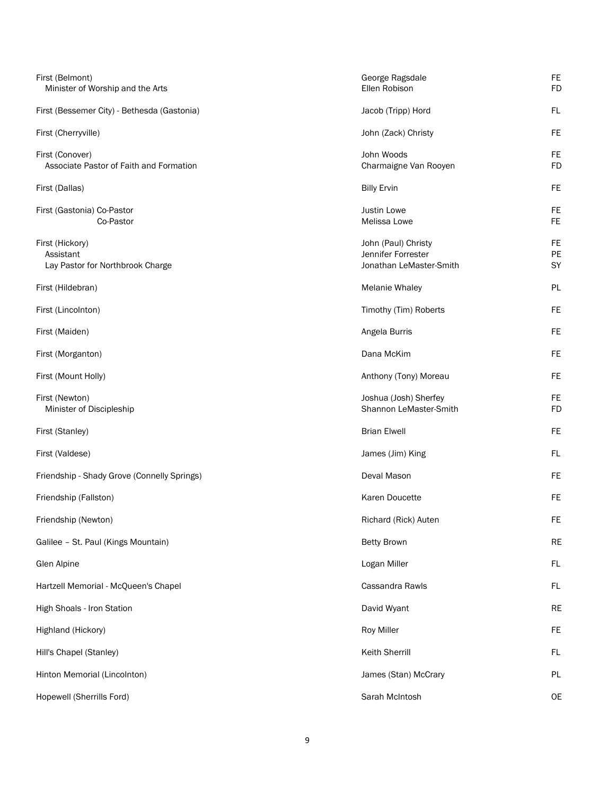| First (Belmont)<br>Minister of Worship and the Arts              | George Ragsdale<br>Ellen Robison                                     | <b>FE</b><br><b>FD</b> |
|------------------------------------------------------------------|----------------------------------------------------------------------|------------------------|
| First (Bessemer City) - Bethesda (Gastonia)                      | Jacob (Tripp) Hord                                                   | FL                     |
| First (Cherryville)                                              | John (Zack) Christy                                                  | <b>FE</b>              |
| First (Conover)<br>Associate Pastor of Faith and Formation       | John Woods<br>Charmaigne Van Rooyen                                  | FE<br><b>FD</b>        |
| First (Dallas)                                                   | <b>Billy Ervin</b>                                                   | FE                     |
| First (Gastonia) Co-Pastor<br>Co-Pastor                          | <b>Justin Lowe</b><br>Melissa Lowe                                   | FE<br><b>FE</b>        |
| First (Hickory)<br>Assistant<br>Lay Pastor for Northbrook Charge | John (Paul) Christy<br>Jennifer Forrester<br>Jonathan LeMaster-Smith | FE<br>PE<br>SY         |
| First (Hildebran)                                                | <b>Melanie Whaley</b>                                                | PL                     |
| First (Lincolnton)                                               | Timothy (Tim) Roberts                                                | <b>FE</b>              |
| First (Maiden)                                                   | Angela Burris                                                        | <b>FE</b>              |
| First (Morganton)                                                | Dana McKim                                                           | FE                     |
| First (Mount Holly)                                              | Anthony (Tony) Moreau                                                | FE                     |
| First (Newton)<br>Minister of Discipleship                       | Joshua (Josh) Sherfey<br>Shannon LeMaster-Smith                      | FE<br><b>FD</b>        |
| First (Stanley)                                                  | <b>Brian Elwell</b>                                                  | FE                     |
| First (Valdese)                                                  | James (Jim) King                                                     | FL                     |
| Friendship - Shady Grove (Connelly Springs)                      | Deval Mason                                                          | FE                     |
| Friendship (Fallston)                                            | Karen Doucette                                                       | <b>FE</b>              |
| Friendship (Newton)                                              | Richard (Rick) Auten                                                 | FE                     |
| Galilee - St. Paul (Kings Mountain)                              | <b>Betty Brown</b>                                                   | <b>RE</b>              |
| Glen Alpine                                                      | Logan Miller                                                         | FL                     |
| Hartzell Memorial - McQueen's Chapel                             | Cassandra Rawls                                                      | FL.                    |
| High Shoals - Iron Station                                       | David Wyant                                                          | <b>RE</b>              |
| Highland (Hickory)                                               | Roy Miller                                                           | FE                     |
| Hill's Chapel (Stanley)                                          | Keith Sherrill                                                       | FL                     |
| Hinton Memorial (Lincolnton)                                     | James (Stan) McCrary                                                 | PL                     |
| Hopewell (Sherrills Ford)                                        | Sarah McIntosh                                                       | <b>OE</b>              |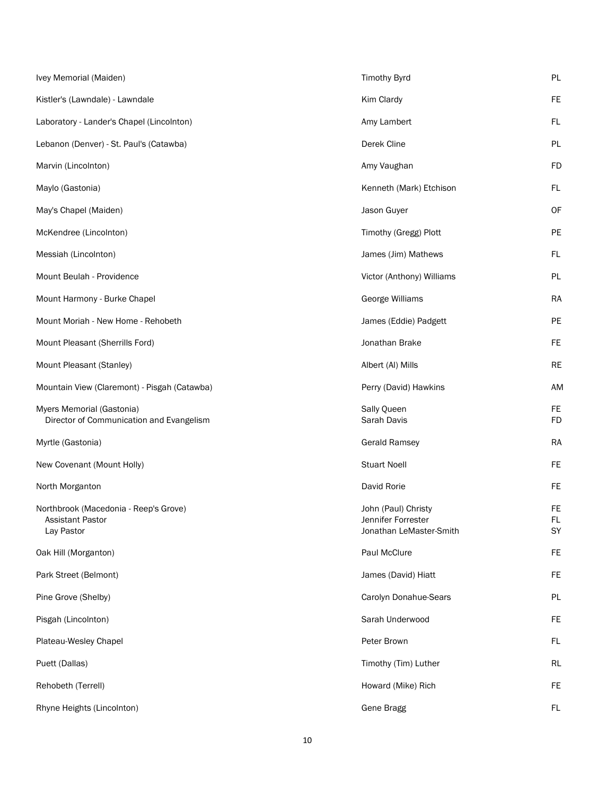| Ivey Memorial (Maiden)                                                  | <b>Timothy Byrd</b>                                                  | PL                     |
|-------------------------------------------------------------------------|----------------------------------------------------------------------|------------------------|
| Kistler's (Lawndale) - Lawndale                                         | Kim Clardy                                                           | <b>FE</b>              |
| Laboratory - Lander's Chapel (Lincolnton)                               | Amy Lambert                                                          | FL.                    |
| Lebanon (Denver) - St. Paul's (Catawba)                                 | Derek Cline                                                          | <b>PL</b>              |
| Marvin (Lincolnton)                                                     | Amy Vaughan                                                          | <b>FD</b>              |
| Maylo (Gastonia)                                                        | Kenneth (Mark) Etchison                                              | FL.                    |
| May's Chapel (Maiden)                                                   | Jason Guyer                                                          | OF                     |
| McKendree (Lincolnton)                                                  | Timothy (Gregg) Plott                                                | PE                     |
| Messiah (Lincolnton)                                                    | James (Jim) Mathews                                                  | FL                     |
| Mount Beulah - Providence                                               | Victor (Anthony) Williams                                            | PL                     |
| Mount Harmony - Burke Chapel                                            | George Williams                                                      | <b>RA</b>              |
| Mount Moriah - New Home - Rehobeth                                      | James (Eddie) Padgett                                                | PE                     |
| Mount Pleasant (Sherrills Ford)                                         | Jonathan Brake                                                       | <b>FE</b>              |
| Mount Pleasant (Stanley)                                                | Albert (AI) Mills                                                    | <b>RE</b>              |
| Mountain View (Claremont) - Pisgah (Catawba)                            | Perry (David) Hawkins                                                | <b>AM</b>              |
| Myers Memorial (Gastonia)<br>Director of Communication and Evangelism   | Sally Queen<br>Sarah Davis                                           | FE.<br><b>FD</b>       |
| Myrtle (Gastonia)                                                       | <b>Gerald Ramsey</b>                                                 | <b>RA</b>              |
| New Covenant (Mount Holly)                                              | <b>Stuart Noell</b>                                                  | <b>FE</b>              |
| North Morganton                                                         | David Rorie                                                          | <b>FE</b>              |
| Northbrook (Macedonia - Reep's Grove)<br>Assistant Pastor<br>Lay Pastor | John (Paul) Christy<br>Jennifer Forrester<br>Jonathan LeMaster-Smith | <b>FE</b><br>FL.<br>SY |
| Oak Hill (Morganton)                                                    | Paul McClure                                                         | <b>FE</b>              |
| Park Street (Belmont)                                                   | James (David) Hiatt                                                  | <b>FE</b>              |
| Pine Grove (Shelby)                                                     | Carolyn Donahue-Sears                                                | <b>PL</b>              |
| Pisgah (Lincolnton)                                                     | Sarah Underwood                                                      | <b>FE</b>              |
| Plateau-Wesley Chapel                                                   | Peter Brown                                                          | FL.                    |
| Puett (Dallas)                                                          | Timothy (Tim) Luther                                                 | RL                     |
| Rehobeth (Terrell)                                                      | Howard (Mike) Rich                                                   | FE                     |
| Rhyne Heights (Lincolnton)                                              | <b>Gene Bragg</b>                                                    | FL.                    |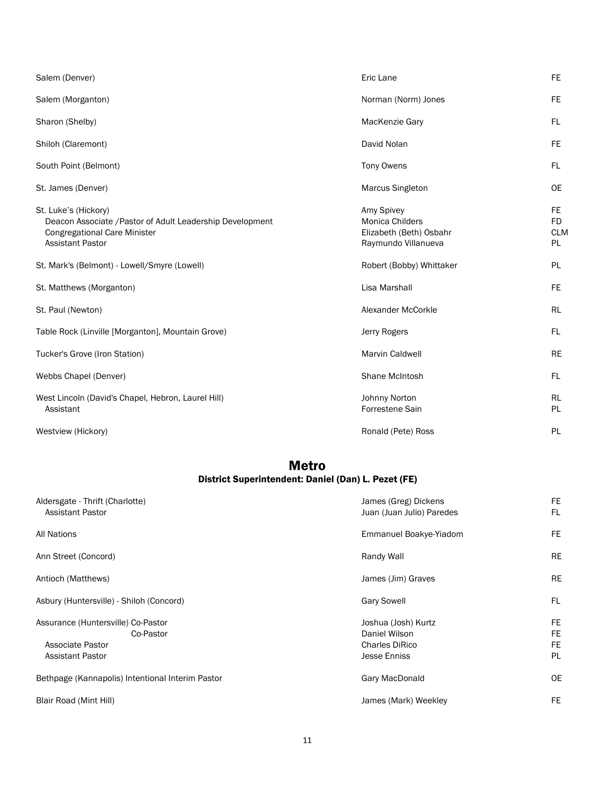| Salem (Denver)                                                                                                                                      | Eric Lane                                                                       | FE.                                         |
|-----------------------------------------------------------------------------------------------------------------------------------------------------|---------------------------------------------------------------------------------|---------------------------------------------|
| Salem (Morganton)                                                                                                                                   | Norman (Norm) Jones                                                             | FE.                                         |
| Sharon (Shelby)                                                                                                                                     | MacKenzie Gary                                                                  | FL.                                         |
| Shiloh (Claremont)                                                                                                                                  | David Nolan                                                                     | FE.                                         |
| South Point (Belmont)                                                                                                                               | <b>Tony Owens</b>                                                               | FL.                                         |
| St. James (Denver)                                                                                                                                  | Marcus Singleton                                                                | <b>OE</b>                                   |
| St. Luke's (Hickory)<br>Deacon Associate / Pastor of Adult Leadership Development<br><b>Congregational Care Minister</b><br><b>Assistant Pastor</b> | Amy Spivey<br>Monica Childers<br>Elizabeth (Beth) Osbahr<br>Raymundo Villanueva | FE.<br><b>FD</b><br><b>CLM</b><br><b>PL</b> |
|                                                                                                                                                     |                                                                                 |                                             |
| St. Mark's (Belmont) - Lowell/Smyre (Lowell)                                                                                                        | Robert (Bobby) Whittaker                                                        | <b>PL</b>                                   |
| St. Matthews (Morganton)                                                                                                                            | Lisa Marshall                                                                   | FE.                                         |
| St. Paul (Newton)                                                                                                                                   | Alexander McCorkle                                                              | <b>RL</b>                                   |
| Table Rock (Linville [Morganton], Mountain Grove)                                                                                                   | Jerry Rogers                                                                    | FL.                                         |
| Tucker's Grove (Iron Station)                                                                                                                       | <b>Marvin Caldwell</b>                                                          | <b>RE</b>                                   |
| Webbs Chapel (Denver)                                                                                                                               | Shane McIntosh                                                                  | FL.                                         |
| West Lincoln (David's Chapel, Hebron, Laurel Hill)<br>Assistant                                                                                     | Johnny Norton<br>Forrestene Sain                                                | RL<br><b>PL</b>                             |

### Metro District Superintendent: Daniel (Dan) L. Pezet (FE)

| Aldersgate - Thrift (Charlotte)<br><b>Assistant Pastor</b>                                     | James (Greg) Dickens<br>Juan (Juan Julio) Paredes                                    | FE<br>FL                    |
|------------------------------------------------------------------------------------------------|--------------------------------------------------------------------------------------|-----------------------------|
| <b>All Nations</b>                                                                             | Emmanuel Boakye-Yiadom                                                               | <b>FE</b>                   |
| Ann Street (Concord)                                                                           | Randy Wall                                                                           | RE                          |
| Antioch (Matthews)                                                                             | James (Jim) Graves                                                                   | <b>RE</b>                   |
| Asbury (Huntersville) - Shiloh (Concord)                                                       | <b>Gary Sowell</b>                                                                   | FL                          |
| Assurance (Huntersville) Co-Pastor<br>Co-Pastor<br>Associate Pastor<br><b>Assistant Pastor</b> | Joshua (Josh) Kurtz<br>Daniel Wilson<br><b>Charles DiRico</b><br><b>Jesse Enniss</b> | FE<br><b>FE</b><br>FE<br>PL |
| Bethpage (Kannapolis) Intentional Interim Pastor                                               | Gary MacDonald                                                                       | <b>OE</b>                   |
| Blair Road (Mint Hill)                                                                         | James (Mark) Weekley                                                                 | <b>FE</b>                   |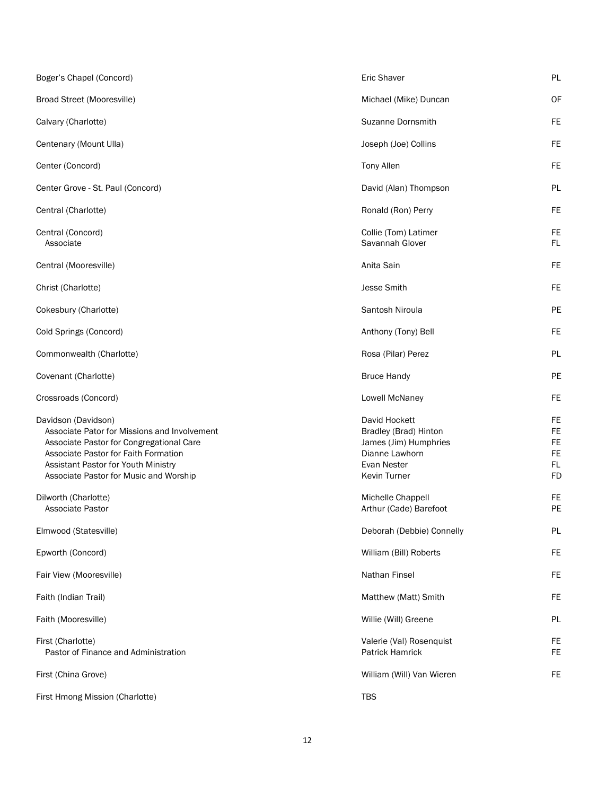| Boger's Chapel (Concord)                                                                                                                                                                                                                 | Eric Shaver                                                                                                             | PL                                                            |
|------------------------------------------------------------------------------------------------------------------------------------------------------------------------------------------------------------------------------------------|-------------------------------------------------------------------------------------------------------------------------|---------------------------------------------------------------|
| Broad Street (Mooresville)                                                                                                                                                                                                               | Michael (Mike) Duncan                                                                                                   | OF                                                            |
| Calvary (Charlotte)                                                                                                                                                                                                                      | <b>Suzanne Dornsmith</b>                                                                                                | FE.                                                           |
| Centenary (Mount Ulla)                                                                                                                                                                                                                   | Joseph (Joe) Collins                                                                                                    | <b>FE</b>                                                     |
| Center (Concord)                                                                                                                                                                                                                         | <b>Tony Allen</b>                                                                                                       | <b>FE</b>                                                     |
| Center Grove - St. Paul (Concord)                                                                                                                                                                                                        | David (Alan) Thompson                                                                                                   | PL                                                            |
| Central (Charlotte)                                                                                                                                                                                                                      | Ronald (Ron) Perry                                                                                                      | <b>FE</b>                                                     |
| Central (Concord)<br>Associate                                                                                                                                                                                                           | Collie (Tom) Latimer<br>Savannah Glover                                                                                 | <b>FE</b><br>FL                                               |
| Central (Mooresville)                                                                                                                                                                                                                    | Anita Sain                                                                                                              | <b>FE</b>                                                     |
| Christ (Charlotte)                                                                                                                                                                                                                       | Jesse Smith                                                                                                             | <b>FE</b>                                                     |
| Cokesbury (Charlotte)                                                                                                                                                                                                                    | Santosh Niroula                                                                                                         | PE                                                            |
| Cold Springs (Concord)                                                                                                                                                                                                                   | Anthony (Tony) Bell                                                                                                     | <b>FE</b>                                                     |
| Commonwealth (Charlotte)                                                                                                                                                                                                                 | Rosa (Pilar) Perez                                                                                                      | PL                                                            |
| Covenant (Charlotte)                                                                                                                                                                                                                     | <b>Bruce Handy</b>                                                                                                      | PE                                                            |
| Crossroads (Concord)                                                                                                                                                                                                                     | Lowell McNaney                                                                                                          | <b>FE</b>                                                     |
| Davidson (Davidson)<br>Associate Pator for Missions and Involvement<br>Associate Pastor for Congregational Care<br>Associate Pastor for Faith Formation<br>Assistant Pastor for Youth Ministry<br>Associate Pastor for Music and Worship | David Hockett<br>Bradley (Brad) Hinton<br>James (Jim) Humphries<br>Dianne Lawhorn<br>Evan Nester<br><b>Kevin Turner</b> | FE<br><b>FE</b><br><b>FE</b><br><b>FE</b><br>FL.<br><b>FD</b> |
| Dilworth (Charlotte)<br><b>Associate Pastor</b>                                                                                                                                                                                          | Michelle Chappell<br>Arthur (Cade) Barefoot                                                                             | <b>FE</b><br>PE                                               |
| Elmwood (Statesville)                                                                                                                                                                                                                    | Deborah (Debbie) Connelly                                                                                               | PL                                                            |
| Epworth (Concord)                                                                                                                                                                                                                        | William (Bill) Roberts                                                                                                  | FE                                                            |
| Fair View (Mooresville)                                                                                                                                                                                                                  | Nathan Finsel                                                                                                           | <b>FE</b>                                                     |
| Faith (Indian Trail)                                                                                                                                                                                                                     | Matthew (Matt) Smith                                                                                                    | <b>FE</b>                                                     |
| Faith (Mooresville)                                                                                                                                                                                                                      | Willie (Will) Greene                                                                                                    | PL                                                            |
| First (Charlotte)<br>Pastor of Finance and Administration                                                                                                                                                                                | Valerie (Val) Rosenquist<br><b>Patrick Hamrick</b>                                                                      | FE<br>FE.                                                     |
| First (China Grove)                                                                                                                                                                                                                      | William (Will) Van Wieren                                                                                               | FE.                                                           |
| First Hmong Mission (Charlotte)                                                                                                                                                                                                          | <b>TBS</b>                                                                                                              |                                                               |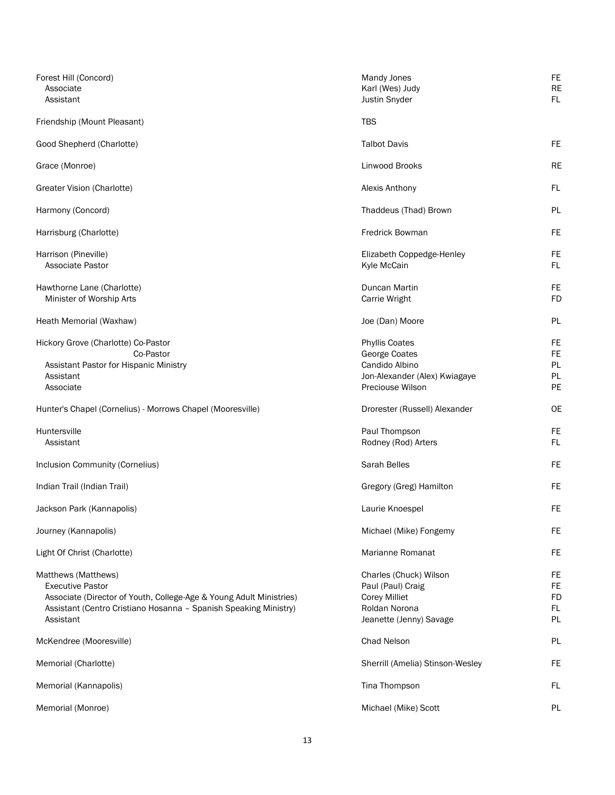| Forest Hill (Concord)<br>Associate<br>Assistant                                                                                                                                                        | Mandy Jones<br>Karl (Wes) Judy<br>Justin Snyder                                                                 | FE<br><b>RE</b><br>FL                    |
|--------------------------------------------------------------------------------------------------------------------------------------------------------------------------------------------------------|-----------------------------------------------------------------------------------------------------------------|------------------------------------------|
| Friendship (Mount Pleasant)                                                                                                                                                                            | <b>TBS</b>                                                                                                      |                                          |
| Good Shepherd (Charlotte)                                                                                                                                                                              | <b>Talbot Davis</b>                                                                                             | FE                                       |
| Grace (Monroe)                                                                                                                                                                                         | Linwood Brooks                                                                                                  | <b>RE</b>                                |
| Greater Vision (Charlotte)                                                                                                                                                                             | Alexis Anthony                                                                                                  | FL                                       |
| Harmony (Concord)                                                                                                                                                                                      | Thaddeus (Thad) Brown                                                                                           | PL                                       |
| Harrisburg (Charlotte)                                                                                                                                                                                 | <b>Fredrick Bowman</b>                                                                                          | FE                                       |
| Harrison (Pineville)<br>Associate Pastor                                                                                                                                                               | Elizabeth Coppedge-Henley<br>Kyle McCain                                                                        | FE<br>FL                                 |
| Hawthorne Lane (Charlotte)<br>Minister of Worship Arts                                                                                                                                                 | Duncan Martin<br>Carrie Wright                                                                                  | FE<br><b>FD</b>                          |
| Heath Memorial (Waxhaw)                                                                                                                                                                                | Joe (Dan) Moore                                                                                                 | PL                                       |
| Hickory Grove (Charlotte) Co-Pastor<br>Co-Pastor<br>Assistant Pastor for Hispanic Ministry<br>Assistant<br>Associate                                                                                   | <b>Phyllis Coates</b><br>George Coates<br>Candido Albino<br>Jon-Alexander (Alex) Kwiagaye<br>Preciouse Wilson   | FE<br>FE<br>PL<br>PL<br>PE               |
| Hunter's Chapel (Cornelius) - Morrows Chapel (Mooresville)                                                                                                                                             | Drorester (Russell) Alexander                                                                                   | <b>OE</b>                                |
| Huntersville<br>Assistant                                                                                                                                                                              | Paul Thompson<br>Rodney (Rod) Arters                                                                            | FE<br>FL.                                |
| Inclusion Community (Cornelius)                                                                                                                                                                        | Sarah Belles                                                                                                    | FE                                       |
| Indian Trail (Indian Trail)                                                                                                                                                                            | Gregory (Greg) Hamilton                                                                                         | FE                                       |
| Jackson Park (Kannapolis)                                                                                                                                                                              | Laurie Knoespel                                                                                                 | FE                                       |
| Journey (Kannapolis)                                                                                                                                                                                   | Michael (Mike) Fongemy                                                                                          | FE                                       |
| Light Of Christ (Charlotte)                                                                                                                                                                            | Marianne Romanat                                                                                                | FE                                       |
| Matthews (Matthews)<br><b>Executive Pastor</b><br>Associate (Director of Youth, College-Age & Young Adult Ministries)<br>Assistant (Centro Cristiano Hosanna - Spanish Speaking Ministry)<br>Assistant | Charles (Chuck) Wilson<br>Paul (Paul) Craig<br><b>Corey Milliet</b><br>Roldan Norona<br>Jeanette (Jenny) Savage | FE<br><b>FE</b><br><b>FD</b><br>FL<br>PL |
| McKendree (Mooresville)                                                                                                                                                                                | Chad Nelson                                                                                                     | PL                                       |
| Memorial (Charlotte)                                                                                                                                                                                   | Sherrill (Amelia) Stinson-Wesley                                                                                | FE                                       |
| Memorial (Kannapolis)                                                                                                                                                                                  | Tina Thompson                                                                                                   | FL                                       |
| Memorial (Monroe)                                                                                                                                                                                      | Michael (Mike) Scott                                                                                            | PL                                       |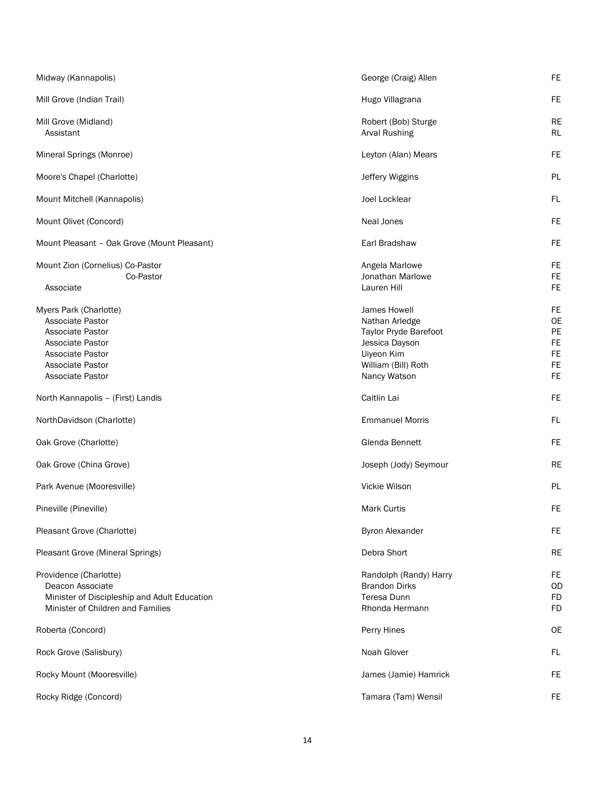| Midway (Kannapolis)                                                                                                                                   | George (Craig) Allen                                                                                                           | <b>FE</b>                                                                 |
|-------------------------------------------------------------------------------------------------------------------------------------------------------|--------------------------------------------------------------------------------------------------------------------------------|---------------------------------------------------------------------------|
| Mill Grove (Indian Trail)                                                                                                                             | Hugo Villagrana                                                                                                                | FE.                                                                       |
| Mill Grove (Midland)<br>Assistant                                                                                                                     | Robert (Bob) Sturge<br><b>Arval Rushing</b>                                                                                    | <b>RE</b><br><b>RL</b>                                                    |
| Mineral Springs (Monroe)                                                                                                                              | Leyton (Alan) Mears                                                                                                            | <b>FE</b>                                                                 |
| Moore's Chapel (Charlotte)                                                                                                                            | Jeffery Wiggins                                                                                                                | PL                                                                        |
| Mount Mitchell (Kannapolis)                                                                                                                           | Joel Locklear                                                                                                                  | FL                                                                        |
| Mount Olivet (Concord)                                                                                                                                | Neal Jones                                                                                                                     | <b>FE</b>                                                                 |
| Mount Pleasant - Oak Grove (Mount Pleasant)                                                                                                           | Earl Bradshaw                                                                                                                  | FE                                                                        |
| Mount Zion (Cornelius) Co-Pastor<br>Co-Pastor<br>Associate                                                                                            | Angela Marlowe<br>Jonathan Marlowe<br>Lauren Hill                                                                              | <b>FE</b><br><b>FE</b><br><b>FE</b>                                       |
| Myers Park (Charlotte)<br>Associate Pastor<br>Associate Pastor<br><b>Associate Pastor</b><br>Associate Pastor<br>Associate Pastor<br>Associate Pastor | James Howell<br>Nathan Arledge<br>Taylor Pryde Barefoot<br>Jessica Dayson<br>Uiyeon Kim<br>William (Bill) Roth<br>Nancy Watson | <b>FE</b><br><b>OE</b><br>PE<br><b>FE</b><br>FE<br><b>FE</b><br><b>FE</b> |
| North Kannapolis - (First) Landis                                                                                                                     | Caitlin Lai                                                                                                                    | <b>FE</b>                                                                 |
| NorthDavidson (Charlotte)                                                                                                                             | <b>Emmanuel Morris</b>                                                                                                         | FL                                                                        |
|                                                                                                                                                       | Glenda Bennett                                                                                                                 | <b>FE</b>                                                                 |
| Oak Grove (Charlotte)                                                                                                                                 |                                                                                                                                |                                                                           |
| Oak Grove (China Grove)                                                                                                                               | Joseph (Jody) Seymour                                                                                                          | <b>RE</b>                                                                 |
| Park Avenue (Mooresville)                                                                                                                             | Vickie Wilson                                                                                                                  | PL                                                                        |
| Pineville (Pineville)                                                                                                                                 | <b>Mark Curtis</b>                                                                                                             | FE                                                                        |
| Pleasant Grove (Charlotte)                                                                                                                            | Byron Alexander                                                                                                                | <b>FE</b>                                                                 |
| Pleasant Grove (Mineral Springs)                                                                                                                      | Debra Short                                                                                                                    | <b>RE</b>                                                                 |
| Providence (Charlotte)<br>Deacon Associate<br>Minister of Discipleship and Adult Education<br>Minister of Children and Families                       | Randolph (Randy) Harry<br><b>Brandon Dirks</b><br>Teresa Dunn<br>Rhonda Hermann                                                | <b>FE</b><br><b>OD</b><br><b>FD</b><br><b>FD</b>                          |
| Roberta (Concord)                                                                                                                                     | Perry Hines                                                                                                                    | <b>OE</b>                                                                 |
| Rock Grove (Salisbury)                                                                                                                                | Noah Glover                                                                                                                    | FL                                                                        |
| Rocky Mount (Mooresville)                                                                                                                             | James (Jamie) Hamrick                                                                                                          | FE                                                                        |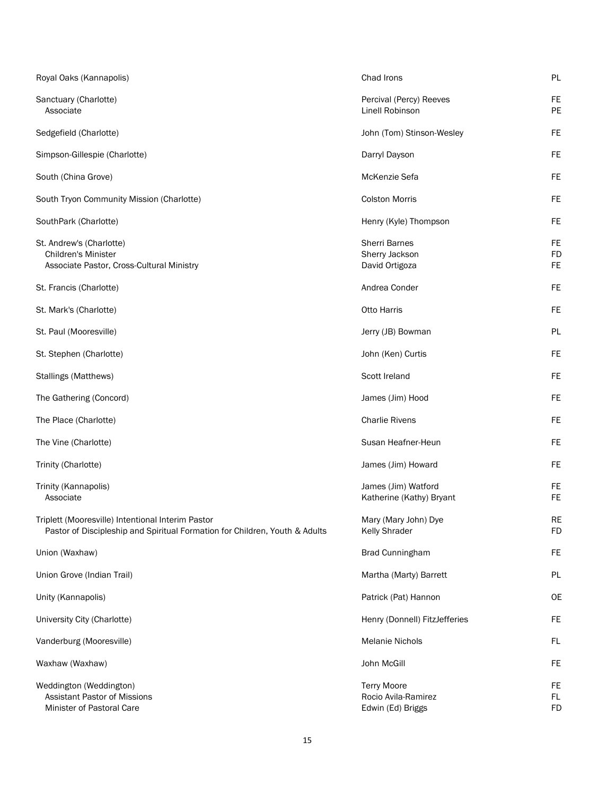| Royal Oaks (Kannapolis)                                                                                                          | Chad Irons                                                     | PL                           |
|----------------------------------------------------------------------------------------------------------------------------------|----------------------------------------------------------------|------------------------------|
| Sanctuary (Charlotte)<br>Associate                                                                                               | Percival (Percy) Reeves<br>Linell Robinson                     | FE<br>PE                     |
| Sedgefield (Charlotte)                                                                                                           | John (Tom) Stinson-Wesley                                      | FE                           |
| Simpson-Gillespie (Charlotte)                                                                                                    | Darryl Dayson                                                  | FE                           |
| South (China Grove)                                                                                                              | McKenzie Sefa                                                  | FE                           |
| South Tryon Community Mission (Charlotte)                                                                                        | <b>Colston Morris</b>                                          | FE                           |
| SouthPark (Charlotte)                                                                                                            | Henry (Kyle) Thompson                                          | FE                           |
| St. Andrew's (Charlotte)<br><b>Children's Minister</b><br>Associate Pastor, Cross-Cultural Ministry                              | <b>Sherri Barnes</b><br>Sherry Jackson<br>David Ortigoza       | FE<br><b>FD</b><br><b>FE</b> |
| St. Francis (Charlotte)                                                                                                          | Andrea Conder                                                  | FE                           |
| St. Mark's (Charlotte)                                                                                                           | <b>Otto Harris</b>                                             | <b>FE</b>                    |
| St. Paul (Mooresville)                                                                                                           | Jerry (JB) Bowman                                              | PL                           |
| St. Stephen (Charlotte)                                                                                                          | John (Ken) Curtis                                              | FE                           |
| Stallings (Matthews)                                                                                                             | Scott Ireland                                                  | FE                           |
| The Gathering (Concord)                                                                                                          | James (Jim) Hood                                               | FE                           |
| The Place (Charlotte)                                                                                                            | <b>Charlie Rivens</b>                                          | <b>FE</b>                    |
| The Vine (Charlotte)                                                                                                             | Susan Heafner-Heun                                             | <b>FE</b>                    |
| Trinity (Charlotte)                                                                                                              | James (Jim) Howard                                             | FE                           |
| Trinity (Kannapolis)<br>Associate                                                                                                | James (Jim) Watford<br>Katherine (Kathy) Bryant                | FE<br><b>FE</b>              |
| Triplett (Mooresville) Intentional Interim Pastor<br>Pastor of Discipleship and Spiritual Formation for Children, Youth & Adults | Mary (Mary John) Dye<br>Kelly Shrader                          | <b>RE</b><br><b>FD</b>       |
| Union (Waxhaw)                                                                                                                   | <b>Brad Cunningham</b>                                         | <b>FE</b>                    |
| Union Grove (Indian Trail)                                                                                                       | Martha (Marty) Barrett                                         | PL                           |
| Unity (Kannapolis)                                                                                                               | Patrick (Pat) Hannon                                           | <b>OE</b>                    |
| University City (Charlotte)                                                                                                      | Henry (Donnell) FitzJefferies                                  | <b>FE</b>                    |
| Vanderburg (Mooresville)                                                                                                         | <b>Melanie Nichols</b>                                         | FL                           |
| Waxhaw (Waxhaw)                                                                                                                  | John McGill                                                    | FE                           |
| Weddington (Weddington)<br>Assistant Pastor of Missions<br>Minister of Pastoral Care                                             | <b>Terry Moore</b><br>Rocio Avila-Ramirez<br>Edwin (Ed) Briggs | FE<br>FL<br><b>FD</b>        |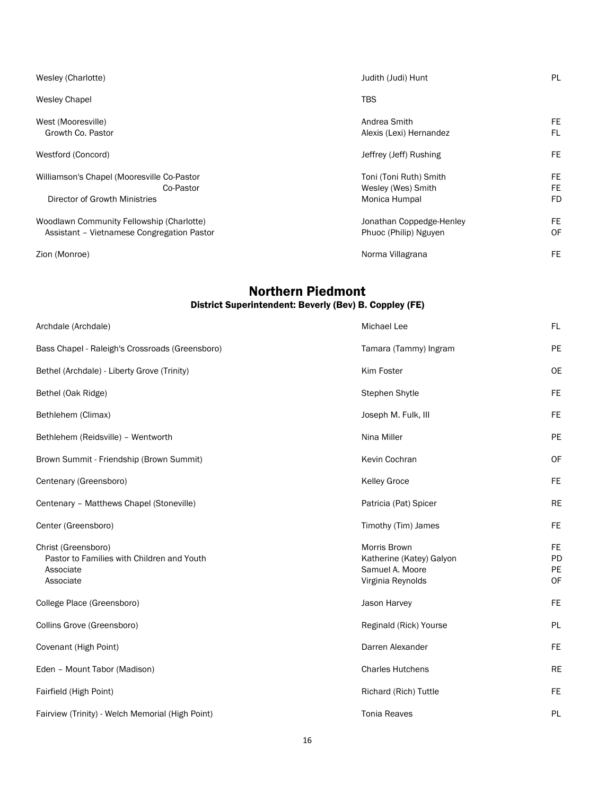| Wesley (Charlotte)                                                                       | Judith (Judi) Hunt                                            | <b>PL</b>             |
|------------------------------------------------------------------------------------------|---------------------------------------------------------------|-----------------------|
| <b>Wesley Chapel</b>                                                                     | <b>TBS</b>                                                    |                       |
| West (Mooresville)<br>Growth Co. Pastor                                                  | Andrea Smith<br>Alexis (Lexi) Hernandez                       | FE<br>FL              |
| Westford (Concord)                                                                       | Jeffrey (Jeff) Rushing                                        | FE                    |
| Williamson's Chapel (Mooresville Co-Pastor<br>Co-Pastor<br>Director of Growth Ministries | Toni (Toni Ruth) Smith<br>Wesley (Wes) Smith<br>Monica Humpal | FE<br>FE<br><b>FD</b> |
| Woodlawn Community Fellowship (Charlotte)<br>Assistant - Vietnamese Congregation Pastor  | Jonathan Coppedge-Henley<br>Phuoc (Philip) Nguyen             | FE<br>OF              |
| Zion (Monroe)                                                                            | Norma Villagrana                                              | FE                    |

### Northern Piedmont District Superintendent: Beverly (Bev) B. Coppley (FE)

| Archdale (Archdale)                                                                         | Michael Lee                                                                             | FL                                 |
|---------------------------------------------------------------------------------------------|-----------------------------------------------------------------------------------------|------------------------------------|
| Bass Chapel - Raleigh's Crossroads (Greensboro)                                             | Tamara (Tammy) Ingram                                                                   | PE                                 |
| Bethel (Archdale) - Liberty Grove (Trinity)                                                 | Kim Foster                                                                              | <b>OE</b>                          |
| Bethel (Oak Ridge)                                                                          | Stephen Shytle                                                                          | FE.                                |
| Bethlehem (Climax)                                                                          | Joseph M. Fulk, III                                                                     | FE.                                |
| Bethlehem (Reidsville) - Wentworth                                                          | Nina Miller                                                                             | PE                                 |
| Brown Summit - Friendship (Brown Summit)                                                    | Kevin Cochran                                                                           | <b>OF</b>                          |
| Centenary (Greensboro)                                                                      | <b>Kelley Groce</b>                                                                     | FE.                                |
| Centenary - Matthews Chapel (Stoneville)                                                    | Patricia (Pat) Spicer                                                                   | <b>RE</b>                          |
| Center (Greensboro)                                                                         | Timothy (Tim) James                                                                     | <b>FE</b>                          |
| Christ (Greensboro)<br>Pastor to Families with Children and Youth<br>Associate<br>Associate | <b>Morris Brown</b><br>Katherine (Katey) Galyon<br>Samuel A. Moore<br>Virginia Reynolds | <b>FE</b><br>PD<br><b>PE</b><br>OF |
| College Place (Greensboro)                                                                  | Jason Harvey                                                                            | <b>FE</b>                          |
| Collins Grove (Greensboro)                                                                  | Reginald (Rick) Yourse                                                                  | <b>PL</b>                          |
| Covenant (High Point)                                                                       | Darren Alexander                                                                        | <b>FE</b>                          |
| Eden - Mount Tabor (Madison)                                                                | <b>Charles Hutchens</b>                                                                 | <b>RE</b>                          |
| Fairfield (High Point)                                                                      | Richard (Rich) Tuttle                                                                   | <b>FE</b>                          |
| Fairview (Trinity) - Welch Memorial (High Point)                                            | <b>Tonia Reaves</b>                                                                     | PL                                 |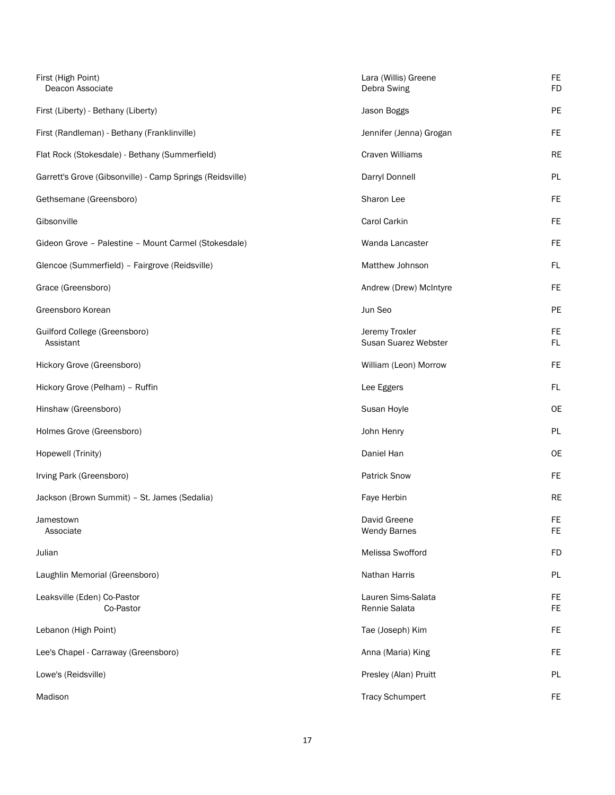| First (High Point)<br>Deacon Associate                    | Lara (Willis) Greene<br>Debra Swing    | <b>FE</b><br><b>FD</b> |
|-----------------------------------------------------------|----------------------------------------|------------------------|
| First (Liberty) - Bethany (Liberty)                       | Jason Boggs                            | PE                     |
| First (Randleman) - Bethany (Franklinville)               | Jennifer (Jenna) Grogan                | FE                     |
| Flat Rock (Stokesdale) - Bethany (Summerfield)            | <b>Craven Williams</b>                 | <b>RE</b>              |
| Garrett's Grove (Gibsonville) - Camp Springs (Reidsville) | Darryl Donnell                         | <b>PL</b>              |
| Gethsemane (Greensboro)                                   | Sharon Lee                             | FE.                    |
| Gibsonville                                               | Carol Carkin                           | FE.                    |
| Gideon Grove - Palestine - Mount Carmel (Stokesdale)      | Wanda Lancaster                        | FE.                    |
| Glencoe (Summerfield) - Fairgrove (Reidsville)            | Matthew Johnson                        | FL                     |
| Grace (Greensboro)                                        | Andrew (Drew) McIntyre                 | <b>FE</b>              |
| Greensboro Korean                                         | Jun Seo                                | PE                     |
| Guilford College (Greensboro)<br>Assistant                | Jeremy Troxler<br>Susan Suarez Webster | <b>FE</b><br>FL.       |
| Hickory Grove (Greensboro)                                | William (Leon) Morrow                  | <b>FE</b>              |
| Hickory Grove (Pelham) - Ruffin                           | Lee Eggers                             | FL                     |
| Hinshaw (Greensboro)                                      | Susan Hoyle                            | <b>OE</b>              |
| Holmes Grove (Greensboro)                                 | John Henry                             | <b>PL</b>              |
| Hopewell (Trinity)                                        | Daniel Han                             | <b>OE</b>              |
| Irving Park (Greensboro)                                  | <b>Patrick Snow</b>                    | <b>FE</b>              |
| Jackson (Brown Summit) - St. James (Sedalia)              | Faye Herbin                            | <b>RE</b>              |
| Jamestown<br>Associate                                    | David Greene<br><b>Wendy Barnes</b>    | FE.<br>FE.             |
| Julian                                                    | Melissa Swofford                       | <b>FD</b>              |
| Laughlin Memorial (Greensboro)                            | Nathan Harris                          | PL                     |
| Leaksville (Eden) Co-Pastor<br>Co-Pastor                  | Lauren Sims-Salata<br>Rennie Salata    | FE<br>FE.              |
| Lebanon (High Point)                                      | Tae (Joseph) Kim                       | FE                     |
| Lee's Chapel - Carraway (Greensboro)                      | Anna (Maria) King                      | <b>FE</b>              |
| Lowe's (Reidsville)                                       | Presley (Alan) Pruitt                  | PL                     |
| Madison                                                   | <b>Tracy Schumpert</b>                 | <b>FE</b>              |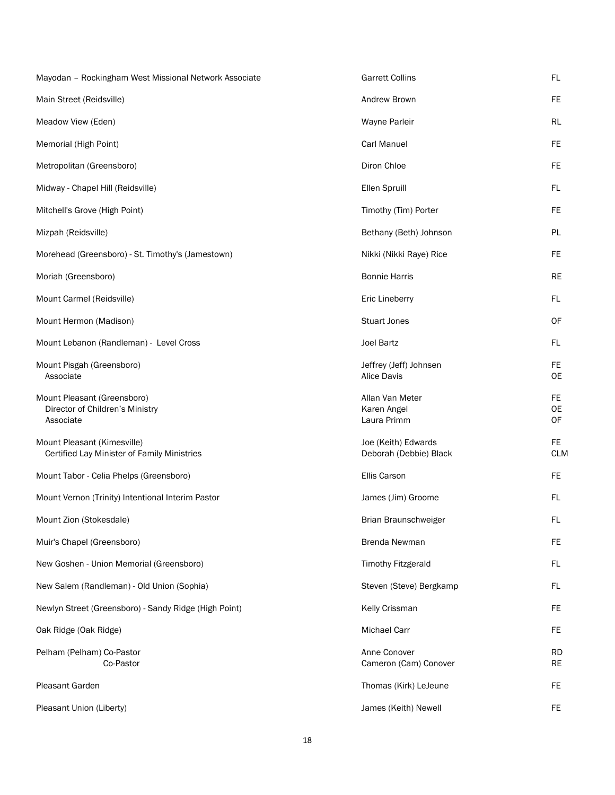| Mayodan - Rockingham West Missional Network Associate                       | <b>Garrett Collins</b>                        | FL.                    |
|-----------------------------------------------------------------------------|-----------------------------------------------|------------------------|
| Main Street (Reidsville)                                                    | Andrew Brown                                  | FE.                    |
| Meadow View (Eden)                                                          | Wayne Parleir                                 | RL                     |
| Memorial (High Point)                                                       | <b>Carl Manuel</b>                            | FE.                    |
| Metropolitan (Greensboro)                                                   | Diron Chloe                                   | FE.                    |
| Midway - Chapel Hill (Reidsville)                                           | Ellen Spruill                                 | FL.                    |
| Mitchell's Grove (High Point)                                               | Timothy (Tim) Porter                          | FE.                    |
| Mizpah (Reidsville)                                                         | Bethany (Beth) Johnson                        | PL                     |
| Morehead (Greensboro) - St. Timothy's (Jamestown)                           | Nikki (Nikki Raye) Rice                       | FE.                    |
| Moriah (Greensboro)                                                         | <b>Bonnie Harris</b>                          | <b>RE</b>              |
| Mount Carmel (Reidsville)                                                   | Eric Lineberry                                | FL.                    |
| Mount Hermon (Madison)                                                      | <b>Stuart Jones</b>                           | 0F                     |
| Mount Lebanon (Randleman) - Level Cross                                     | <b>Joel Bartz</b>                             | FL.                    |
| Mount Pisgah (Greensboro)<br>Associate                                      | Jeffrey (Jeff) Johnsen<br><b>Alice Davis</b>  | FE.<br>0E              |
| Mount Pleasant (Greensboro)<br>Director of Children's Ministry<br>Associate | Allan Van Meter<br>Karen Angel<br>Laura Primm | FE.<br>0E<br>0F        |
| Mount Pleasant (Kimesville)<br>Certified Lay Minister of Family Ministries  | Joe (Keith) Edwards<br>Deborah (Debbie) Black | FE.<br><b>CLM</b>      |
| Mount Tabor - Celia Phelps (Greensboro)                                     | Ellis Carson                                  | FE.                    |
| Mount Vernon (Trinity) Intentional Interim Pastor                           | James (Jim) Groome                            | FL.                    |
| Mount Zion (Stokesdale)                                                     | Brian Braunschweiger                          | FL                     |
| Muir's Chapel (Greensboro)                                                  | Brenda Newman                                 | FE.                    |
| New Goshen - Union Memorial (Greensboro)                                    | <b>Timothy Fitzgerald</b>                     | FL.                    |
| New Salem (Randleman) - Old Union (Sophia)                                  | Steven (Steve) Bergkamp                       | FL.                    |
| Newlyn Street (Greensboro) - Sandy Ridge (High Point)                       | Kelly Crissman                                | FE.                    |
| Oak Ridge (Oak Ridge)                                                       | Michael Carr                                  | FE.                    |
| Pelham (Pelham) Co-Pastor<br>Co-Pastor                                      | Anne Conover<br>Cameron (Cam) Conover         | <b>RD</b><br><b>RE</b> |
| Pleasant Garden                                                             | Thomas (Kirk) LeJeune                         | FE.                    |
| Pleasant Union (Liberty)                                                    | James (Keith) Newell                          | FE.                    |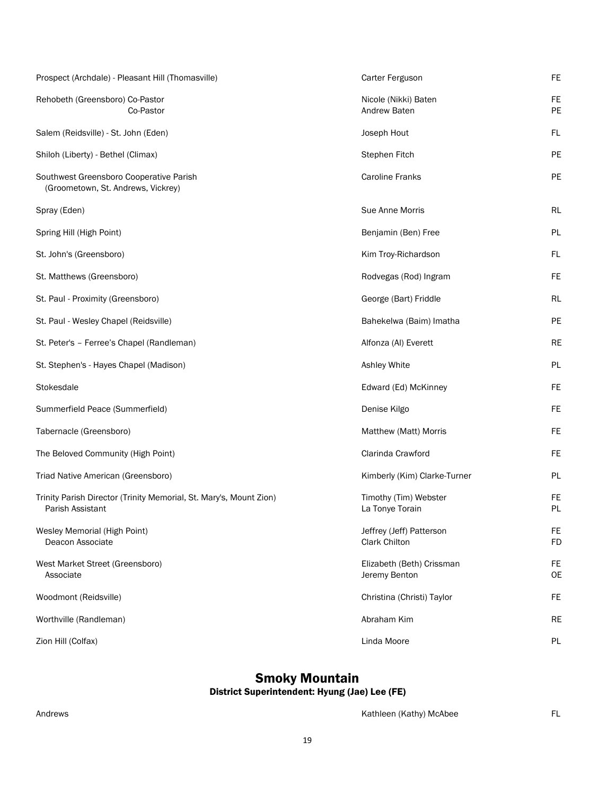| Prospect (Archdale) - Pleasant Hill (Thomasville)                                      | Carter Ferguson                            | <b>FE</b>              |
|----------------------------------------------------------------------------------------|--------------------------------------------|------------------------|
| Rehobeth (Greensboro) Co-Pastor<br>Co-Pastor                                           | Nicole (Nikki) Baten<br>Andrew Baten       | <b>FE</b><br>PE        |
| Salem (Reidsville) - St. John (Eden)                                                   | Joseph Hout                                | <b>FL</b>              |
| Shiloh (Liberty) - Bethel (Climax)                                                     | Stephen Fitch                              | PE                     |
| Southwest Greensboro Cooperative Parish<br>(Groometown, St. Andrews, Vickrey)          | <b>Caroline Franks</b>                     | PE                     |
| Spray (Eden)                                                                           | Sue Anne Morris                            | RL                     |
| Spring Hill (High Point)                                                               | Benjamin (Ben) Free                        | PL                     |
| St. John's (Greensboro)                                                                | Kim Troy-Richardson                        | FL                     |
| St. Matthews (Greensboro)                                                              | Rodvegas (Rod) Ingram                      | <b>FE</b>              |
| St. Paul - Proximity (Greensboro)                                                      | George (Bart) Friddle                      | RL                     |
| St. Paul - Wesley Chapel (Reidsville)                                                  | Bahekelwa (Baim) Imatha                    | PE                     |
| St. Peter's - Ferree's Chapel (Randleman)                                              | Alfonza (AI) Everett                       | RE                     |
| St. Stephen's - Hayes Chapel (Madison)                                                 | Ashley White                               | PL                     |
| Stokesdale                                                                             | Edward (Ed) McKinney                       | <b>FE</b>              |
| Summerfield Peace (Summerfield)                                                        | Denise Kilgo                               | <b>FE</b>              |
| Tabernacle (Greensboro)                                                                | Matthew (Matt) Morris                      | <b>FE</b>              |
| The Beloved Community (High Point)                                                     | Clarinda Crawford                          | <b>FE</b>              |
| Triad Native American (Greensboro)                                                     | Kimberly (Kim) Clarke-Turner               | PL                     |
| Trinity Parish Director (Trinity Memorial, St. Mary's, Mount Zion)<br>Parish Assistant | Timothy (Tim) Webster<br>La Tonye Torain   | <b>FE</b><br><b>PL</b> |
| Wesley Memorial (High Point)<br>Deacon Associate                                       | Jeffrey (Jeff) Patterson<br>Clark Chilton  | FE<br><b>FD</b>        |
| West Market Street (Greensboro)<br>Associate                                           | Elizabeth (Beth) Crissman<br>Jeremy Benton | FE<br>OE               |
| Woodmont (Reidsville)                                                                  | Christina (Christi) Taylor                 | <b>FE</b>              |
| Worthville (Randleman)                                                                 | Abraham Kim                                | <b>RE</b>              |
| Zion Hill (Colfax)                                                                     | Linda Moore                                | PL                     |

### Smoky Mountain

#### District Superintendent: Hyung (Jae) Lee (FE)

Andrews **Kathleen** (Kathy) McAbee FL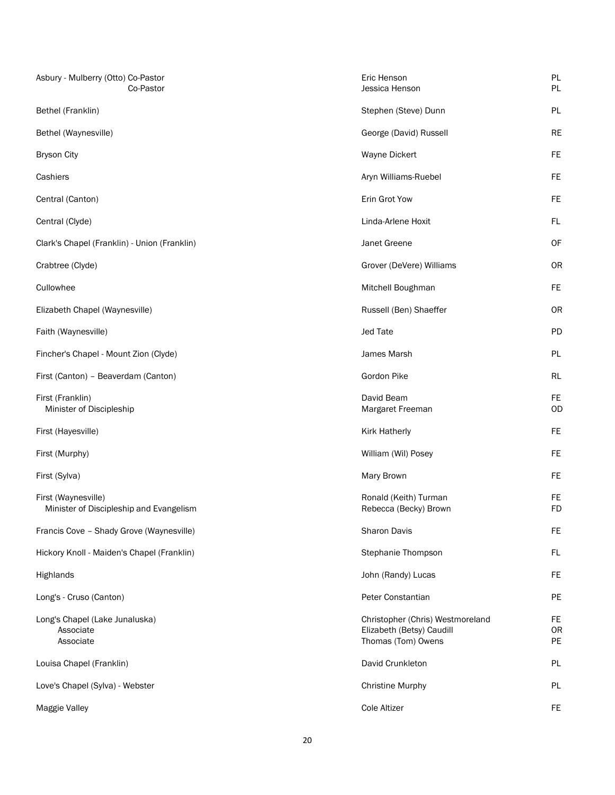| Asbury - Mulberry (Otto) Co-Pastor<br>Co-Pastor                | Eric Henson<br>Jessica Henson                                                       | PL<br>PL                     |
|----------------------------------------------------------------|-------------------------------------------------------------------------------------|------------------------------|
| Bethel (Franklin)                                              | Stephen (Steve) Dunn                                                                | PL                           |
| Bethel (Waynesville)                                           | George (David) Russell                                                              | <b>RE</b>                    |
| <b>Bryson City</b>                                             | Wayne Dickert                                                                       | <b>FE</b>                    |
| Cashiers                                                       | Aryn Williams-Ruebel                                                                | <b>FE</b>                    |
| Central (Canton)                                               | Erin Grot Yow                                                                       | <b>FE</b>                    |
| Central (Clyde)                                                | Linda-Arlene Hoxit                                                                  | FL                           |
| Clark's Chapel (Franklin) - Union (Franklin)                   | Janet Greene                                                                        | OF                           |
| Crabtree (Clyde)                                               | Grover (DeVere) Williams                                                            | <b>OR</b>                    |
| Cullowhee                                                      | Mitchell Boughman                                                                   | <b>FE</b>                    |
| Elizabeth Chapel (Waynesville)                                 | Russell (Ben) Shaeffer                                                              | OR                           |
| Faith (Waynesville)                                            | <b>Jed Tate</b>                                                                     | <b>PD</b>                    |
| Fincher's Chapel - Mount Zion (Clyde)                          | James Marsh                                                                         | <b>PL</b>                    |
| First (Canton) - Beaverdam (Canton)                            | Gordon Pike                                                                         | <b>RL</b>                    |
| First (Franklin)<br>Minister of Discipleship                   | David Beam<br>Margaret Freeman                                                      | FE.<br>OD                    |
| First (Hayesville)                                             | <b>Kirk Hatherly</b>                                                                | <b>FE</b>                    |
| First (Murphy)                                                 | William (Wil) Posey                                                                 | <b>FE</b>                    |
| First (Sylva)                                                  | Mary Brown                                                                          | <b>FE</b>                    |
| First (Waynesville)<br>Minister of Discipleship and Evangelism | Ronald (Keith) Turman<br>Rebecca (Becky) Brown                                      | <b>FE</b><br><b>FD</b>       |
| Francis Cove - Shady Grove (Waynesville)                       | Sharon Davis                                                                        | <b>FE</b>                    |
| Hickory Knoll - Maiden's Chapel (Franklin)                     | Stephanie Thompson                                                                  | FL                           |
| Highlands                                                      | John (Randy) Lucas                                                                  | <b>FE</b>                    |
| Long's - Cruso (Canton)                                        | Peter Constantian                                                                   | PE                           |
| Long's Chapel (Lake Junaluska)<br>Associate<br>Associate       | Christopher (Chris) Westmoreland<br>Elizabeth (Betsy) Caudill<br>Thomas (Tom) Owens | <b>FE</b><br><b>OR</b><br>PE |
| Louisa Chapel (Franklin)                                       | David Crunkleton                                                                    | PL                           |
| Love's Chapel (Sylva) - Webster                                | <b>Christine Murphy</b>                                                             | PL                           |
| Maggie Valley                                                  | <b>Cole Altizer</b>                                                                 | FE                           |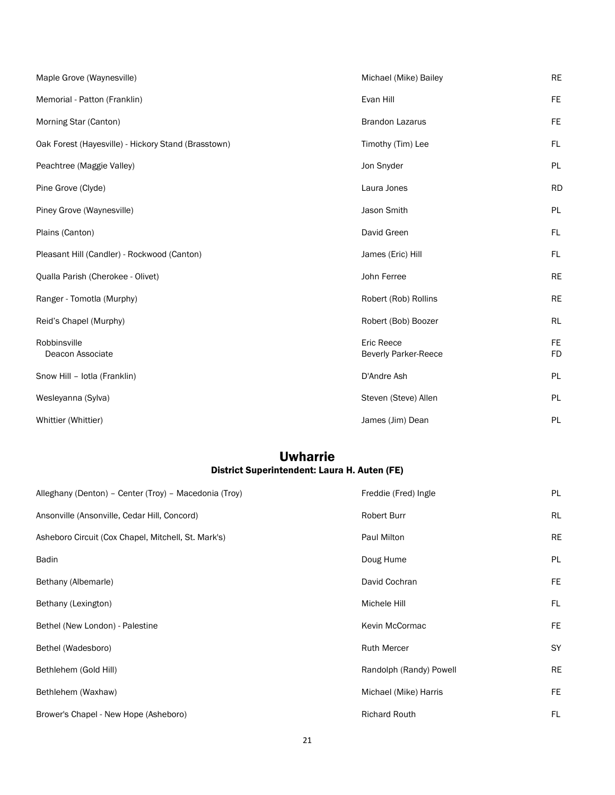| Maple Grove (Waynesville)                           | Michael (Mike) Bailey                            | <b>RE</b>              |
|-----------------------------------------------------|--------------------------------------------------|------------------------|
| Memorial - Patton (Franklin)                        | Evan Hill                                        | <b>FE</b>              |
| Morning Star (Canton)                               | <b>Brandon Lazarus</b>                           | <b>FE</b>              |
| Oak Forest (Hayesville) - Hickory Stand (Brasstown) | Timothy (Tim) Lee                                | FL                     |
| Peachtree (Maggie Valley)                           | Jon Snyder                                       | PL                     |
| Pine Grove (Clyde)                                  | Laura Jones                                      | <b>RD</b>              |
| Piney Grove (Waynesville)                           | Jason Smith                                      | PL                     |
| Plains (Canton)                                     | David Green                                      | FL                     |
| Pleasant Hill (Candler) - Rockwood (Canton)         | James (Eric) Hill                                | FL                     |
| Qualla Parish (Cherokee - Olivet)                   | John Ferree                                      | <b>RE</b>              |
| Ranger - Tomotla (Murphy)                           | Robert (Rob) Rollins                             | <b>RE</b>              |
| Reid's Chapel (Murphy)                              | Robert (Bob) Boozer                              | <b>RL</b>              |
| Robbinsville<br>Deacon Associate                    | <b>Eric Reece</b><br><b>Beverly Parker-Reece</b> | <b>FE</b><br><b>FD</b> |
| Snow Hill - Iotla (Franklin)                        | D'Andre Ash                                      | <b>PL</b>              |
| Wesleyanna (Sylva)                                  | Steven (Steve) Allen                             | PL                     |
| Whittier (Whittier)                                 | James (Jim) Dean                                 | PL                     |

### Uwharrie District Superintendent: Laura H. Auten (FE)

| Alleghany (Denton) – Center (Troy) – Macedonia (Troy) | Freddie (Fred) Ingle    | PL        |
|-------------------------------------------------------|-------------------------|-----------|
| Ansonville (Ansonville, Cedar Hill, Concord)          | <b>Robert Burr</b>      | <b>RL</b> |
| Asheboro Circuit (Cox Chapel, Mitchell, St. Mark's)   | Paul Milton             | <b>RE</b> |
| <b>Badin</b>                                          | Doug Hume               | <b>PL</b> |
| Bethany (Albemarle)                                   | David Cochran           | <b>FE</b> |
| Bethany (Lexington)                                   | Michele Hill            | FL        |
| Bethel (New London) - Palestine                       | Kevin McCormac          | <b>FE</b> |
| Bethel (Wadesboro)                                    | <b>Ruth Mercer</b>      | <b>SY</b> |
| Bethlehem (Gold Hill)                                 | Randolph (Randy) Powell | <b>RE</b> |
| Bethlehem (Waxhaw)                                    | Michael (Mike) Harris   | <b>FE</b> |
| Brower's Chapel - New Hope (Asheboro)                 | <b>Richard Routh</b>    | FL        |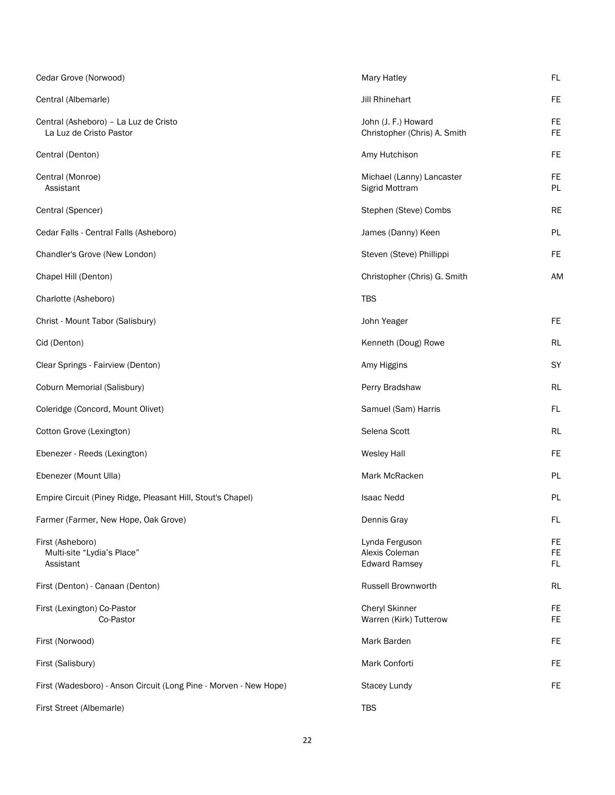| Cedar Grove (Norwood)                                             | Mary Hatley                                              | FL                     |
|-------------------------------------------------------------------|----------------------------------------------------------|------------------------|
| Central (Albemarle)                                               | <b>Jill Rhinehart</b>                                    | <b>FE</b>              |
| Central (Asheboro) - La Luz de Cristo<br>La Luz de Cristo Pastor  | John (J. F.) Howard<br>Christopher (Chris) A. Smith      | <b>FE</b><br>FE.       |
| Central (Denton)                                                  | Amy Hutchison                                            | <b>FE</b>              |
| Central (Monroe)<br>Assistant                                     | Michael (Lanny) Lancaster<br>Sigrid Mottram              | <b>FE</b><br><b>PL</b> |
| Central (Spencer)                                                 | Stephen (Steve) Combs                                    | <b>RE</b>              |
| Cedar Falls - Central Falls (Asheboro)                            | James (Danny) Keen                                       | PL                     |
| Chandler's Grove (New London)                                     | Steven (Steve) Phillippi                                 | <b>FE</b>              |
| Chapel Hill (Denton)                                              | Christopher (Chris) G. Smith                             | <b>AM</b>              |
| Charlotte (Asheboro)                                              | <b>TBS</b>                                               |                        |
| Christ - Mount Tabor (Salisbury)                                  | John Yeager                                              | <b>FE</b>              |
| Cid (Denton)                                                      | Kenneth (Doug) Rowe                                      | <b>RL</b>              |
| Clear Springs - Fairview (Denton)                                 | Amy Higgins                                              | SY                     |
| Coburn Memorial (Salisbury)                                       | Perry Bradshaw                                           | RL                     |
| Coleridge (Concord, Mount Olivet)                                 | Samuel (Sam) Harris                                      | FL                     |
| Cotton Grove (Lexington)                                          | Selena Scott                                             | <b>RL</b>              |
| Ebenezer - Reeds (Lexington)                                      | <b>Wesley Hall</b>                                       | <b>FE</b>              |
| Ebenezer (Mount Ulla)                                             | Mark McRacken                                            | PL                     |
| Empire Circuit (Piney Ridge, Pleasant Hill, Stout's Chapel)       | <b>Isaac Nedd</b>                                        | PL                     |
| Farmer (Farmer, New Hope, Oak Grove)                              | Dennis Gray                                              | <b>FL</b>              |
| First (Asheboro)<br>Multi-site "Lydia's Place"<br>Assistant       | Lynda Ferguson<br>Alexis Coleman<br><b>Edward Ramsey</b> | FE<br>FE<br><b>FL</b>  |
| First (Denton) - Canaan (Denton)                                  | Russell Brownworth                                       | <b>RL</b>              |
| First (Lexington) Co-Pastor<br>Co-Pastor                          | <b>Cheryl Skinner</b><br>Warren (Kirk) Tutterow          | FE<br><b>FE</b>        |
| First (Norwood)                                                   | Mark Barden                                              | <b>FE</b>              |
| First (Salisbury)                                                 | Mark Conforti                                            | FE.                    |
| First (Wadesboro) - Anson Circuit (Long Pine - Morven - New Hope) | <b>Stacey Lundy</b>                                      | FE                     |
| First Street (Albemarle)                                          | <b>TBS</b>                                               |                        |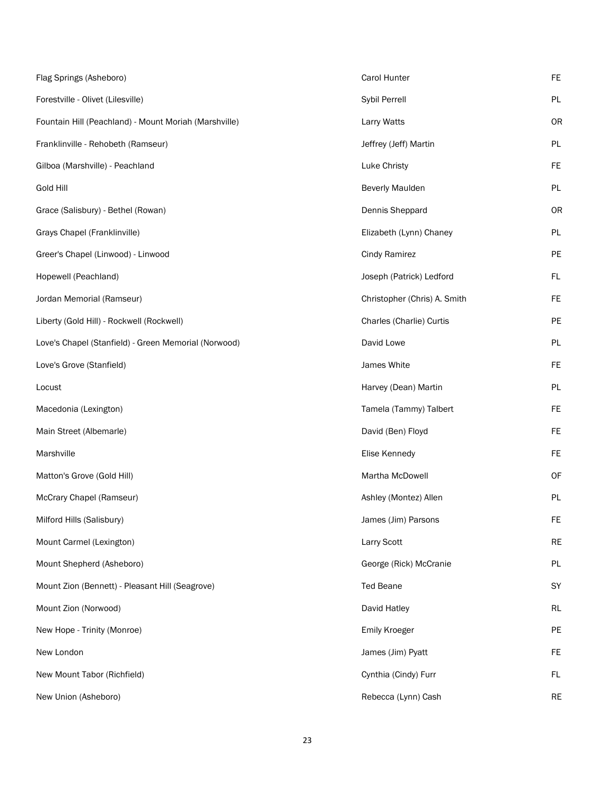| Flag Springs (Asheboro)                               | Carol Hunter                 | FE        |
|-------------------------------------------------------|------------------------------|-----------|
| Forestville - Olivet (Lilesville)                     | Sybil Perrell                | PL        |
| Fountain Hill (Peachland) - Mount Moriah (Marshville) | Larry Watts                  | <b>OR</b> |
| Franklinville - Rehobeth (Ramseur)                    | Jeffrey (Jeff) Martin        | PL        |
| Gilboa (Marshville) - Peachland                       | Luke Christy                 | <b>FE</b> |
| <b>Gold Hill</b>                                      | <b>Beverly Maulden</b>       | PL        |
| Grace (Salisbury) - Bethel (Rowan)                    | Dennis Sheppard              | OR        |
| Grays Chapel (Franklinville)                          | Elizabeth (Lynn) Chaney      | PL        |
| Greer's Chapel (Linwood) - Linwood                    | <b>Cindy Ramirez</b>         | PE        |
| Hopewell (Peachland)                                  | Joseph (Patrick) Ledford     | FL        |
| Jordan Memorial (Ramseur)                             | Christopher (Chris) A. Smith | FE        |
| Liberty (Gold Hill) - Rockwell (Rockwell)             | Charles (Charlie) Curtis     | PE        |
| Love's Chapel (Stanfield) - Green Memorial (Norwood)  | David Lowe                   | PL        |
| Love's Grove (Stanfield)                              | James White                  | <b>FE</b> |
| Locust                                                | Harvey (Dean) Martin         | PL        |
| Macedonia (Lexington)                                 | Tamela (Tammy) Talbert       | <b>FE</b> |
| Main Street (Albemarle)                               | David (Ben) Floyd            | <b>FE</b> |
| Marshville                                            | Elise Kennedy                | FE        |
| Matton's Grove (Gold Hill)                            | Martha McDowell              | OF        |
| McCrary Chapel (Ramseur)                              | Ashley (Montez) Allen        | PL        |
| Milford Hills (Salisbury)                             | James (Jim) Parsons          | FE        |
| Mount Carmel (Lexington)                              | Larry Scott                  | <b>RE</b> |
| Mount Shepherd (Asheboro)                             | George (Rick) McCranie       | PL        |
| Mount Zion (Bennett) - Pleasant Hill (Seagrove)       | <b>Ted Beane</b>             | SY        |
| Mount Zion (Norwood)                                  | David Hatley                 | RL        |
| New Hope - Trinity (Monroe)                           | <b>Emily Kroeger</b>         | PE        |
| New London                                            | James (Jim) Pyatt            | FE        |
| New Mount Tabor (Richfield)                           | Cynthia (Cindy) Furr         | FL.       |
| New Union (Asheboro)                                  | Rebecca (Lynn) Cash          | <b>RE</b> |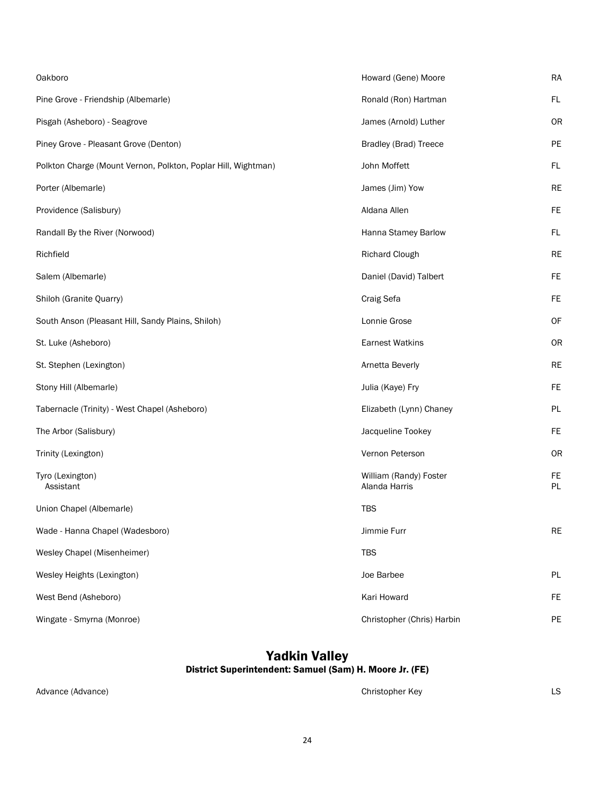| Oakboro                                                       | Howard (Gene) Moore                     | <b>RA</b>        |
|---------------------------------------------------------------|-----------------------------------------|------------------|
| Pine Grove - Friendship (Albemarle)                           | Ronald (Ron) Hartman                    | FL               |
| Pisgah (Asheboro) - Seagrove                                  | James (Arnold) Luther                   | <b>OR</b>        |
| Piney Grove - Pleasant Grove (Denton)                         | <b>Bradley (Brad) Treece</b>            | PE               |
| Polkton Charge (Mount Vernon, Polkton, Poplar Hill, Wightman) | John Moffett                            | FL               |
| Porter (Albemarle)                                            | James (Jim) Yow                         | <b>RE</b>        |
| Providence (Salisbury)                                        | Aldana Allen                            | <b>FE</b>        |
| Randall By the River (Norwood)                                | Hanna Stamey Barlow                     | FL               |
| Richfield                                                     | <b>Richard Clough</b>                   | <b>RE</b>        |
| Salem (Albemarle)                                             | Daniel (David) Talbert                  | <b>FE</b>        |
| Shiloh (Granite Quarry)                                       | Craig Sefa                              | FE               |
| South Anson (Pleasant Hill, Sandy Plains, Shiloh)             | Lonnie Grose                            | <b>OF</b>        |
| St. Luke (Asheboro)                                           | <b>Earnest Watkins</b>                  | <b>OR</b>        |
| St. Stephen (Lexington)                                       | Arnetta Beverly                         | <b>RE</b>        |
| Stony Hill (Albemarle)                                        | Julia (Kaye) Fry                        | <b>FE</b>        |
| Tabernacle (Trinity) - West Chapel (Asheboro)                 | Elizabeth (Lynn) Chaney                 | PL               |
| The Arbor (Salisbury)                                         | Jacqueline Tookey                       | <b>FE</b>        |
| Trinity (Lexington)                                           | Vernon Peterson                         | <b>OR</b>        |
| Tyro (Lexington)<br>Assistant                                 | William (Randy) Foster<br>Alanda Harris | FE.<br><b>PL</b> |
| Union Chapel (Albemarle)                                      | <b>TBS</b>                              |                  |
| Wade - Hanna Chapel (Wadesboro)                               | Jimmie Furr                             | <b>RE</b>        |
| Wesley Chapel (Misenheimer)                                   | <b>TBS</b>                              |                  |
| Wesley Heights (Lexington)                                    | Joe Barbee                              | PL               |
| West Bend (Asheboro)                                          | Kari Howard                             | FE               |
| Wingate - Smyrna (Monroe)                                     | Christopher (Chris) Harbin              | PE               |

### Yadkin Valley

#### District Superintendent: Samuel (Sam) H. Moore Jr. (FE)

Advance (Advance) and a subset of the Christopher Key Christopher Key Christopher Key Christopher Key LS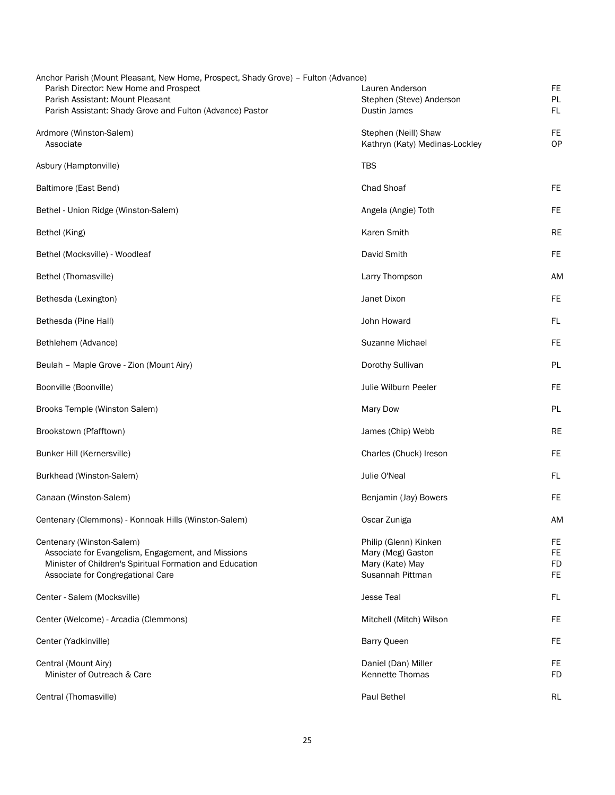| Anchor Parish (Mount Pleasant, New Home, Prospect, Shady Grove) - Fulton (Advance)            |                                                        |           |
|-----------------------------------------------------------------------------------------------|--------------------------------------------------------|-----------|
| Parish Director: New Home and Prospect                                                        | Lauren Anderson                                        | <b>FE</b> |
| Parish Assistant: Mount Pleasant<br>Parish Assistant: Shady Grove and Fulton (Advance) Pastor | Stephen (Steve) Anderson<br>Dustin James               | PL.<br>FL |
|                                                                                               |                                                        |           |
| Ardmore (Winston-Salem)<br>Associate                                                          | Stephen (Neill) Shaw<br>Kathryn (Katy) Medinas-Lockley | FE.<br>OP |
|                                                                                               |                                                        |           |
| Asbury (Hamptonville)                                                                         | <b>TBS</b>                                             |           |
| Baltimore (East Bend)                                                                         | Chad Shoaf                                             | FE.       |
| Bethel - Union Ridge (Winston-Salem)                                                          | Angela (Angie) Toth                                    | FE.       |
| Bethel (King)                                                                                 | <b>Karen Smith</b>                                     | <b>RE</b> |
| Bethel (Mocksville) - Woodleaf                                                                | David Smith                                            | <b>FE</b> |
| Bethel (Thomasville)                                                                          | Larry Thompson                                         | AM        |
| Bethesda (Lexington)                                                                          | Janet Dixon                                            | FE.       |
| Bethesda (Pine Hall)                                                                          | John Howard                                            | FL        |
| Bethlehem (Advance)                                                                           | Suzanne Michael                                        | <b>FE</b> |
| Beulah - Maple Grove - Zion (Mount Airy)                                                      | Dorothy Sullivan                                       | PL        |
| Boonville (Boonville)                                                                         | Julie Wilburn Peeler                                   | <b>FE</b> |
| Brooks Temple (Winston Salem)                                                                 | <b>Mary Dow</b>                                        | PL        |
| Brookstown (Pfafftown)                                                                        | James (Chip) Webb                                      | <b>RE</b> |
| Bunker Hill (Kernersville)                                                                    | Charles (Chuck) Ireson                                 | FE.       |
| Burkhead (Winston-Salem)                                                                      | Julie O'Neal                                           | FL        |
| Canaan (Winston-Salem)                                                                        | Benjamin (Jay) Bowers                                  | <b>FE</b> |
| Centenary (Clemmons) - Konnoak Hills (Winston-Salem)                                          | Oscar Zuniga                                           | AM        |
| Centenary (Winston-Salem)                                                                     | Philip (Glenn) Kinken                                  | FE        |
| Associate for Evangelism, Engagement, and Missions                                            | Mary (Meg) Gaston                                      | FE.       |
| Minister of Children's Spiritual Formation and Education                                      | Mary (Kate) May                                        | <b>FD</b> |
| Associate for Congregational Care                                                             | Susannah Pittman                                       | <b>FE</b> |
| Center - Salem (Mocksville)                                                                   | <b>Jesse Teal</b>                                      | FL        |
| Center (Welcome) - Arcadia (Clemmons)                                                         | Mitchell (Mitch) Wilson                                | FE.       |
| Center (Yadkinville)                                                                          | Barry Queen                                            | <b>FE</b> |
| Central (Mount Airy)                                                                          | Daniel (Dan) Miller                                    | <b>FE</b> |
| Minister of Outreach & Care                                                                   | Kennette Thomas                                        | FD        |
| Central (Thomasville)                                                                         | Paul Bethel                                            | RL        |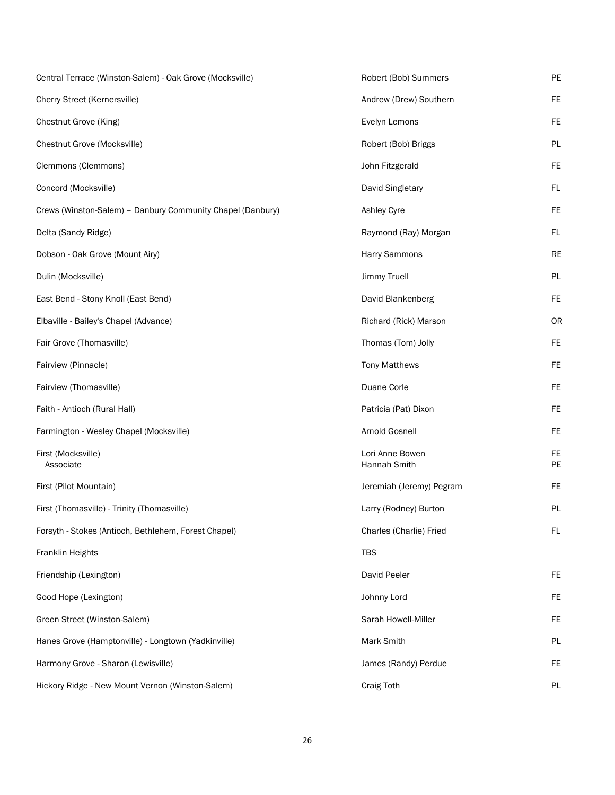| Central Terrace (Winston-Salem) - Oak Grove (Mocksville)   | Robert (Bob) Summers            | PE              |
|------------------------------------------------------------|---------------------------------|-----------------|
| Cherry Street (Kernersville)                               | Andrew (Drew) Southern          | FE              |
| Chestnut Grove (King)                                      | Evelyn Lemons                   | FE              |
| Chestnut Grove (Mocksville)                                | Robert (Bob) Briggs             | <b>PL</b>       |
| Clemmons (Clemmons)                                        | John Fitzgerald                 | FE              |
| Concord (Mocksville)                                       | David Singletary                | FL.             |
| Crews (Winston-Salem) - Danbury Community Chapel (Danbury) | Ashley Cyre                     | FE              |
| Delta (Sandy Ridge)                                        | Raymond (Ray) Morgan            | FL.             |
| Dobson - Oak Grove (Mount Airy)                            | Harry Sammons                   | <b>RE</b>       |
| Dulin (Mocksville)                                         | Jimmy Truell                    | PL              |
| East Bend - Stony Knoll (East Bend)                        | David Blankenberg               | <b>FE</b>       |
| Elbaville - Bailey's Chapel (Advance)                      | Richard (Rick) Marson           | <b>OR</b>       |
| Fair Grove (Thomasville)                                   | Thomas (Tom) Jolly              | <b>FE</b>       |
| Fairview (Pinnacle)                                        | <b>Tony Matthews</b>            | FE              |
| Fairview (Thomasville)                                     | Duane Corle                     | FE              |
| Faith - Antioch (Rural Hall)                               | Patricia (Pat) Dixon            | <b>FE</b>       |
| Farmington - Wesley Chapel (Mocksville)                    | Arnold Gosnell                  | FE              |
| First (Mocksville)<br>Associate                            | Lori Anne Bowen<br>Hannah Smith | <b>FE</b><br>PE |
| First (Pilot Mountain)                                     | Jeremiah (Jeremy) Pegram        | <b>FE</b>       |
| First (Thomasville) - Trinity (Thomasville)                | Larry (Rodney) Burton           | PL              |
| Forsyth - Stokes (Antioch, Bethlehem, Forest Chapel)       | Charles (Charlie) Fried         | FL              |
| Franklin Heights                                           | <b>TBS</b>                      |                 |
| Friendship (Lexington)                                     | David Peeler                    | <b>FE</b>       |
| Good Hope (Lexington)                                      | Johnny Lord                     | <b>FE</b>       |
| Green Street (Winston-Salem)                               | Sarah Howell-Miller             | <b>FE</b>       |
| Hanes Grove (Hamptonville) - Longtown (Yadkinville)        | Mark Smith                      | PL              |
| Harmony Grove - Sharon (Lewisville)                        | James (Randy) Perdue            | <b>FE</b>       |
| Hickory Ridge - New Mount Vernon (Winston-Salem)           | <b>Craig Toth</b>               | PL              |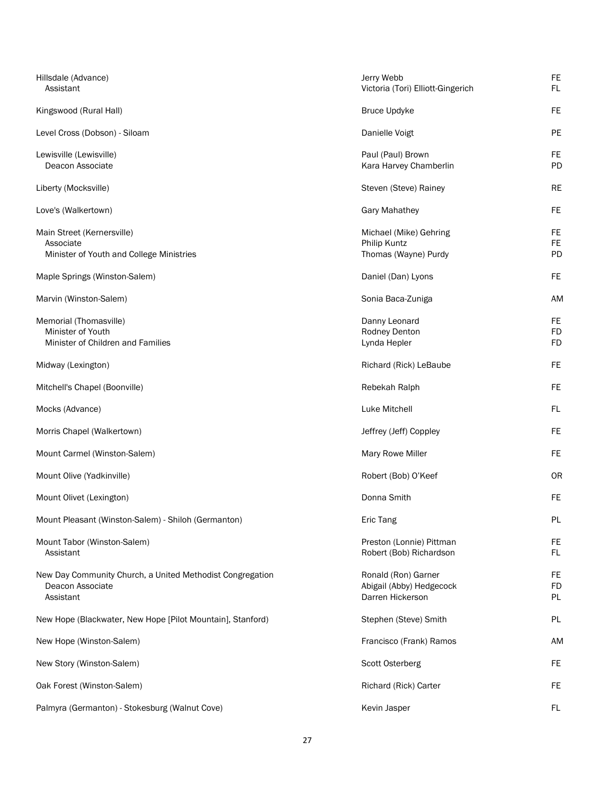| Hillsdale (Advance)<br>Assistant                                                           | Jerry Webb<br>Victoria (Tori) Elliott-Gingerich                     | FE.<br>FL                           |
|--------------------------------------------------------------------------------------------|---------------------------------------------------------------------|-------------------------------------|
| Kingswood (Rural Hall)                                                                     | <b>Bruce Updyke</b>                                                 | <b>FE</b>                           |
| Level Cross (Dobson) - Siloam                                                              | Danielle Voigt                                                      | PE                                  |
| Lewisville (Lewisville)<br>Deacon Associate                                                | Paul (Paul) Brown<br>Kara Harvey Chamberlin                         | <b>FE</b><br>PD                     |
| Liberty (Mocksville)                                                                       | Steven (Steve) Rainey                                               | <b>RE</b>                           |
| Love's (Walkertown)                                                                        | Gary Mahathey                                                       | <b>FE</b>                           |
| Main Street (Kernersville)<br>Associate<br>Minister of Youth and College Ministries        | Michael (Mike) Gehring<br>Philip Kuntz<br>Thomas (Wayne) Purdy      | <b>FE</b><br><b>FE</b><br>PD        |
| Maple Springs (Winston-Salem)                                                              | Daniel (Dan) Lyons                                                  | <b>FE</b>                           |
| Marvin (Winston-Salem)                                                                     | Sonia Baca-Zuniga                                                   | AM                                  |
| Memorial (Thomasville)<br>Minister of Youth<br>Minister of Children and Families           | Danny Leonard<br>Rodney Denton<br>Lynda Hepler                      | <b>FE</b><br><b>FD</b><br><b>FD</b> |
| Midway (Lexington)                                                                         | Richard (Rick) LeBaube                                              | <b>FE</b>                           |
| Mitchell's Chapel (Boonville)                                                              | Rebekah Ralph                                                       | <b>FE</b>                           |
| Mocks (Advance)                                                                            | Luke Mitchell                                                       | FL                                  |
| Morris Chapel (Walkertown)                                                                 | Jeffrey (Jeff) Coppley                                              | <b>FE</b>                           |
| Mount Carmel (Winston-Salem)                                                               | Mary Rowe Miller                                                    | <b>FE</b>                           |
| Mount Olive (Yadkinville)                                                                  | Robert (Bob) O'Keef                                                 | <b>OR</b>                           |
| Mount Olivet (Lexington)                                                                   | Donna Smith                                                         | FE.                                 |
| Mount Pleasant (Winston-Salem) - Shiloh (Germanton)                                        | Eric Tang                                                           | PL                                  |
| Mount Tabor (Winston-Salem)<br>Assistant                                                   | Preston (Lonnie) Pittman<br>Robert (Bob) Richardson                 | FE<br>FL.                           |
| New Day Community Church, a United Methodist Congregation<br>Deacon Associate<br>Assistant | Ronald (Ron) Garner<br>Abigail (Abby) Hedgecock<br>Darren Hickerson | FE<br><b>FD</b><br><b>PL</b>        |
| New Hope (Blackwater, New Hope [Pilot Mountain], Stanford)                                 | Stephen (Steve) Smith                                               | <b>PL</b>                           |
| New Hope (Winston-Salem)                                                                   | Francisco (Frank) Ramos                                             | <b>AM</b>                           |
| New Story (Winston-Salem)                                                                  | Scott Osterberg                                                     | FE                                  |
| Oak Forest (Winston-Salem)                                                                 | Richard (Rick) Carter                                               | <b>FE</b>                           |
| Palmyra (Germanton) - Stokesburg (Walnut Cove)                                             | Kevin Jasper                                                        | FL                                  |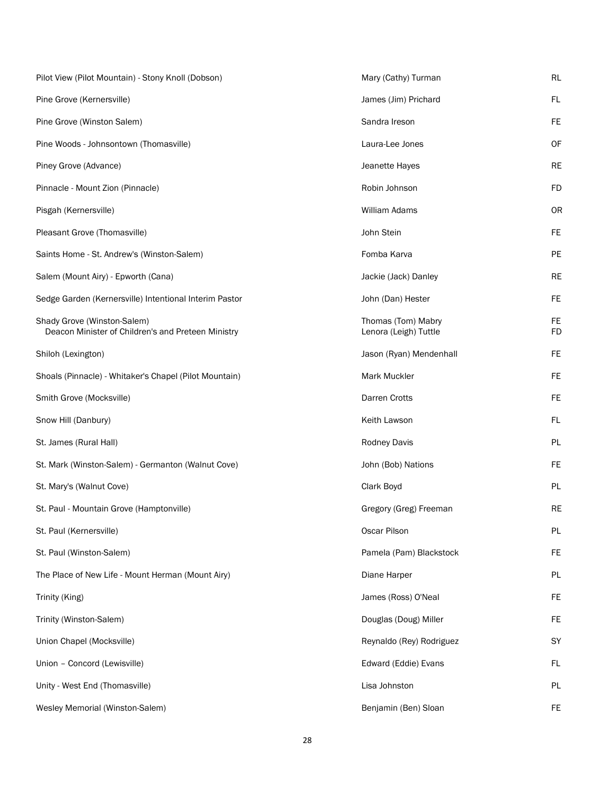| Pilot View (Pilot Mountain) - Stony Knoll (Dobson)                                | Mary (Cathy) Turman                         | RL              |
|-----------------------------------------------------------------------------------|---------------------------------------------|-----------------|
| Pine Grove (Kernersville)                                                         | James (Jim) Prichard                        | <b>FL</b>       |
| Pine Grove (Winston Salem)                                                        | Sandra Ireson                               | <b>FE</b>       |
| Pine Woods - Johnsontown (Thomasville)                                            | Laura-Lee Jones                             | OF              |
| Piney Grove (Advance)                                                             | Jeanette Hayes                              | <b>RE</b>       |
| Pinnacle - Mount Zion (Pinnacle)                                                  | Robin Johnson                               | <b>FD</b>       |
| Pisgah (Kernersville)                                                             | William Adams                               | OR              |
| Pleasant Grove (Thomasville)                                                      | John Stein                                  | <b>FE</b>       |
| Saints Home - St. Andrew's (Winston-Salem)                                        | Fomba Karva                                 | PE              |
| Salem (Mount Airy) - Epworth (Cana)                                               | Jackie (Jack) Danley                        | <b>RE</b>       |
| Sedge Garden (Kernersville) Intentional Interim Pastor                            | John (Dan) Hester                           | <b>FE</b>       |
| Shady Grove (Winston-Salem)<br>Deacon Minister of Children's and Preteen Ministry | Thomas (Tom) Mabry<br>Lenora (Leigh) Tuttle | <b>FE</b><br>FD |
| Shiloh (Lexington)                                                                | Jason (Ryan) Mendenhall                     | <b>FE</b>       |
| Shoals (Pinnacle) - Whitaker's Chapel (Pilot Mountain)                            | Mark Muckler                                | FE              |
| Smith Grove (Mocksville)                                                          | Darren Crotts                               | <b>FE</b>       |
| Snow Hill (Danbury)                                                               | Keith Lawson                                | FL              |
| St. James (Rural Hall)                                                            | Rodney Davis                                | PL              |
| St. Mark (Winston-Salem) - Germanton (Walnut Cove)                                | John (Bob) Nations                          | <b>FE</b>       |
| St. Mary's (Walnut Cove)                                                          | Clark Boyd                                  | PL              |
| St. Paul - Mountain Grove (Hamptonville)                                          | Gregory (Greg) Freeman                      | <b>RE</b>       |
| St. Paul (Kernersville)                                                           | Oscar Pilson                                | PL              |
| St. Paul (Winston-Salem)                                                          | Pamela (Pam) Blackstock                     | <b>FE</b>       |
| The Place of New Life - Mount Herman (Mount Airy)                                 | Diane Harper                                | PL              |
| Trinity (King)                                                                    | James (Ross) O'Neal                         | FE              |
| Trinity (Winston-Salem)                                                           | Douglas (Doug) Miller                       | <b>FE</b>       |
| Union Chapel (Mocksville)                                                         | Reynaldo (Rey) Rodriguez                    | SY              |
| Union - Concord (Lewisville)                                                      | Edward (Eddie) Evans                        | FL              |
| Unity - West End (Thomasville)                                                    | Lisa Johnston                               | PL              |
| Wesley Memorial (Winston-Salem)                                                   | Benjamin (Ben) Sloan                        | FE              |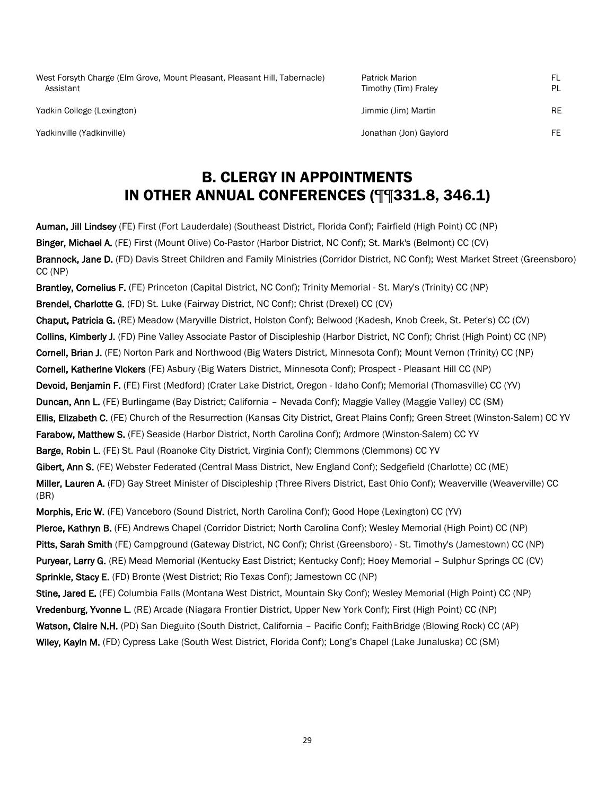| West Forsyth Charge (Elm Grove, Mount Pleasant, Pleasant Hill, Tabernacle)<br>Assistant | <b>Patrick Marion</b><br>Timothy (Tim) Fraley | FL.<br>PL |
|-----------------------------------------------------------------------------------------|-----------------------------------------------|-----------|
| Yadkin College (Lexington)                                                              | Jimmie (Jim) Martin                           | <b>RE</b> |
| Yadkinville (Yadkinville)                                                               | Jonathan (Jon) Gaylord                        | FE.       |

## B. CLERGY IN APPOINTMENTS IN OTHER ANNUAL CONFERENCES (¶¶331.8, 346.1)

Auman, Jill Lindsey (FE) First (Fort Lauderdale) (Southeast District, Florida Conf); Fairfield (High Point) CC (NP) Binger, Michael A. (FE) First (Mount Olive) Co-Pastor (Harbor District, NC Conf); St. Mark's (Belmont) CC (CV) Brannock, Jane D. (FD) Davis Street Children and Family Ministries (Corridor District, NC Conf); West Market Street (Greensboro) CC (NP)

Brantley, Cornelius F. (FE) Princeton (Capital District, NC Conf); Trinity Memorial - St. Mary's (Trinity) CC (NP) Brendel, Charlotte G. (FD) St. Luke (Fairway District, NC Conf); Christ (Drexel) CC (CV) Chaput, Patricia G. (RE) Meadow (Maryville District, Holston Conf); Belwood (Kadesh, Knob Creek, St. Peter's) CC (CV) Collins, Kimberly J. (FD) Pine Valley Associate Pastor of Discipleship (Harbor District, NC Conf); Christ (High Point) CC (NP) Cornell, Brian J. (FE) Norton Park and Northwood (Big Waters District, Minnesota Conf); Mount Vernon (Trinity) CC (NP) Cornell, Katherine Vickers (FE) Asbury (Big Waters District, Minnesota Conf); Prospect - Pleasant Hill CC (NP) Devoid, Benjamin F. (FE) First (Medford) (Crater Lake District, Oregon - Idaho Conf); Memorial (Thomasville) CC (YV) Duncan, Ann L. (FE) Burlingame (Bay District; California – Nevada Conf); Maggie Valley (Maggie Valley) CC (SM) Ellis, Elizabeth C. (FE) Church of the Resurrection (Kansas City District, Great Plains Conf); Green Street (Winston-Salem) CC YV Farabow, Matthew S. (FE) Seaside (Harbor District, North Carolina Conf); Ardmore (Winston-Salem) CC YV Barge, Robin L. (FE) St. Paul (Roanoke City District, Virginia Conf); Clemmons (Clemmons) CC YV Gibert, Ann S. (FE) Webster Federated (Central Mass District, New England Conf); Sedgefield (Charlotte) CC (ME) Miller, Lauren A. (FD) Gay Street Minister of Discipleship (Three Rivers District, East Ohio Conf); Weaverville (Weaverville) CC (BR)

Morphis, Eric W. (FE) Vanceboro (Sound District, North Carolina Conf); Good Hope (Lexington) CC (YV) Pierce, Kathryn B. (FE) Andrews Chapel (Corridor District; North Carolina Conf); Wesley Memorial (High Point) CC (NP) Pitts, Sarah Smith (FE) Campground (Gateway District, NC Conf); Christ (Greensboro) - St. Timothy's (Jamestown) CC (NP) Puryear, Larry G. (RE) Mead Memorial (Kentucky East District; Kentucky Conf); Hoey Memorial - Sulphur Springs CC (CV) Sprinkle, Stacy E. (FD) Bronte (West District; Rio Texas Conf); Jamestown CC (NP) Stine, Jared E. (FE) Columbia Falls (Montana West District, Mountain Sky Conf); Wesley Memorial (High Point) CC (NP) Vredenburg, Yvonne L. (RE) Arcade (Niagara Frontier District, Upper New York Conf); First (High Point) CC (NP) Watson, Claire N.H. (PD) San Dieguito (South District, California - Pacific Conf); FaithBridge (Blowing Rock) CC (AP) Wiley, Kayln M. (FD) Cypress Lake (South West District, Florida Conf); Long's Chapel (Lake Junaluska) CC (SM)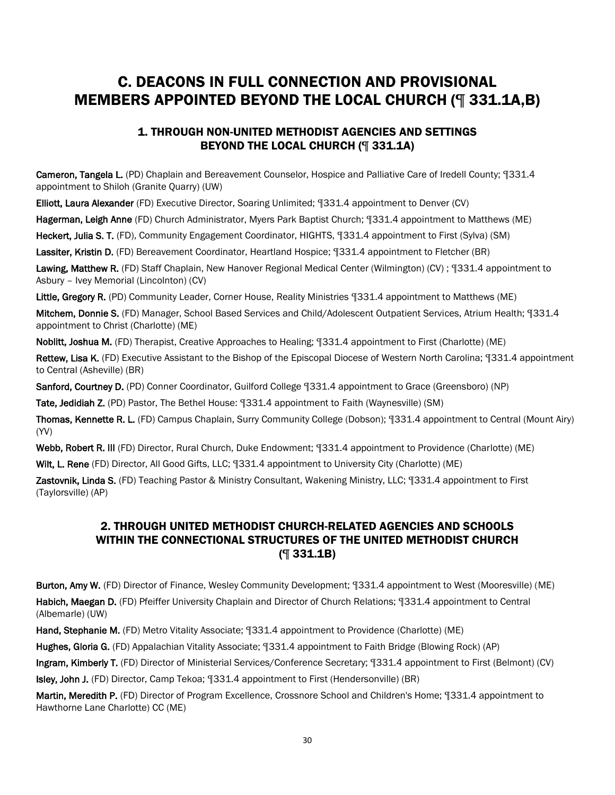# C. DEACONS IN FULL CONNECTION AND PROVISIONAL MEMBERS APPOINTED BEYOND THE LOCAL CHURCH (¶ 331.1A,B)

### 1. THROUGH NON-UNITED METHODIST AGENCIES AND SETTINGS BEYOND THE LOCAL CHURCH (¶ 331.1A)

Cameron, Tangela L. (PD) Chaplain and Bereavement Counselor, Hospice and Palliative Care of Iredell County; ¶331.4 appointment to Shiloh (Granite Quarry) (UW)

Elliott, Laura Alexander (FD) Executive Director, Soaring Unlimited; ¶331.4 appointment to Denver (CV)

Hagerman, Leigh Anne (FD) Church Administrator, Myers Park Baptist Church; ¶331.4 appointment to Matthews (ME)

Heckert, Julia S. T. (FD), Community Engagement Coordinator, HIGHTS, ¶331.4 appointment to First (Sylva) (SM)

Lassiter, Kristin D. (FD) Bereavement Coordinator, Heartland Hospice; ¶331.4 appointment to Fletcher (BR)

Lawing, Matthew R. (FD) Staff Chaplain, New Hanover Regional Medical Center (Wilmington) (CV) ; ¶331.4 appointment to Asbury – Ivey Memorial (Lincolnton) (CV)

Little, Gregory R. (PD) Community Leader, Corner House, Reality Ministries [331.4 appointment to Matthews (ME)

Mitchem, Donnie S. (FD) Manager, School Based Services and Child/Adolescent Outpatient Services, Atrium Health; ¶331.4 appointment to Christ (Charlotte) (ME)

Noblitt, Joshua M. (FD) Therapist, Creative Approaches to Healing; ¶331.4 appointment to First (Charlotte) (ME)

Rettew, Lisa K. (FD) Executive Assistant to the Bishop of the Episcopal Diocese of Western North Carolina; ¶331.4 appointment to Central (Asheville) (BR)

Sanford, Courtney D. (PD) Conner Coordinator, Guilford College ¶331.4 appointment to Grace (Greensboro) (NP)

Tate, Jedidiah Z. (PD) Pastor, The Bethel House: ¶331.4 appointment to Faith (Waynesville) (SM)

Thomas, Kennette R. L. (FD) Campus Chaplain, Surry Community College (Dobson); ¶331.4 appointment to Central (Mount Airy) (YV)

Webb, Robert R. III (FD) Director, Rural Church, Duke Endowment; ¶331.4 appointment to Providence (Charlotte) (ME)

Wilt, L. Rene (FD) Director, All Good Gifts, LLC; ¶331.4 appointment to University City (Charlotte) (ME)

Zastovnik, Linda S. (FD) Teaching Pastor & Ministry Consultant, Wakening Ministry, LLC; [331.4 appointment to First (Taylorsville) (AP)

### 2. THROUGH UNITED METHODIST CHURCH-RELATED AGENCIES AND SCHOOLS WITHIN THE CONNECTIONAL STRUCTURES OF THE UNITED METHODIST CHURCH (¶ 331.1B)

Burton, Amy W. (FD) Director of Finance, Wesley Community Development; ¶331.4 appointment to West (Mooresville) (ME) Habich, Maegan D. (FD) Pfeiffer University Chaplain and Director of Church Relations; [331.4 appointment to Central (Albemarle) (UW)

Hand, Stephanie M. (FD) Metro Vitality Associate; ¶331.4 appointment to Providence (Charlotte) (ME)

Hughes, Gloria G. (FD) Appalachian Vitality Associate; ¶331.4 appointment to Faith Bridge (Blowing Rock) (AP)

Ingram, Kimberly T. (FD) Director of Ministerial Services/Conference Secretary; ¶331.4 appointment to First (Belmont) (CV)

Isley, John J. (FD) Director, Camp Tekoa; ¶331.4 appointment to First (Hendersonville) (BR)

Martin, Meredith P. (FD) Director of Program Excellence, Crossnore School and Children's Home; ¶331.4 appointment to Hawthorne Lane Charlotte) CC (ME)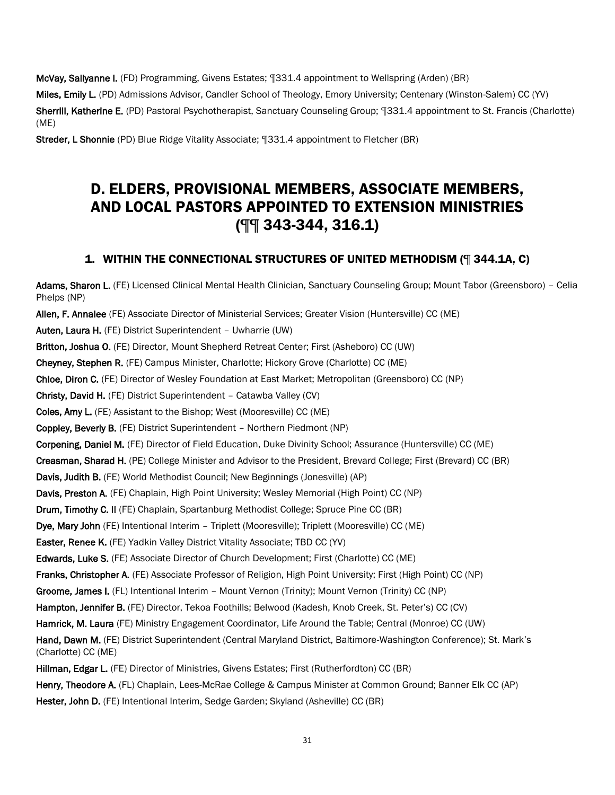McVay, Sallyanne I. (FD) Programming, Givens Estates; ¶331.4 appointment to Wellspring (Arden) (BR)

Miles, Emily L. (PD) Admissions Advisor, Candler School of Theology, Emory University; Centenary (Winston-Salem) CC (YV) Sherrill, Katherine E. (PD) Pastoral Psychotherapist, Sanctuary Counseling Group; ¶331.4 appointment to St. Francis (Charlotte) (ME)

Streder, L Shonnie (PD) Blue Ridge Vitality Associate; ¶331.4 appointment to Fletcher (BR)

# D. ELDERS, PROVISIONAL MEMBERS, ASSOCIATE MEMBERS, AND LOCAL PASTORS APPOINTED TO EXTENSION MINISTRIES (¶¶ 343-344, 316.1)

### 1. WITHIN THE CONNECTIONAL STRUCTURES OF UNITED METHODISM (¶ 344.1A, C)

Adams, Sharon L. (FE) Licensed Clinical Mental Health Clinician, Sanctuary Counseling Group; Mount Tabor (Greensboro) – Celia Phelps (NP) Allen, F. Annalee (FE) Associate Director of Ministerial Services; Greater Vision (Huntersville) CC (ME) Auten, Laura H. (FE) District Superintendent – Uwharrie (UW) Britton, Joshua O. (FE) Director, Mount Shepherd Retreat Center; First (Asheboro) CC (UW) Cheyney, Stephen R. (FE) Campus Minister, Charlotte; Hickory Grove (Charlotte) CC (ME) Chloe, Diron C. (FE) Director of Wesley Foundation at East Market; Metropolitan (Greensboro) CC (NP) Christy, David H. (FE) District Superintendent – Catawba Valley (CV) Coles, Amy L. (FE) Assistant to the Bishop; West (Mooresville) CC (ME) Coppley, Beverly B. (FE) District Superintendent – Northern Piedmont (NP) Corpening, Daniel M. (FE) Director of Field Education, Duke Divinity School; Assurance (Huntersville) CC (ME) Creasman, Sharad H. (PE) College Minister and Advisor to the President, Brevard College; First (Brevard) CC (BR) Davis, Judith B. (FE) World Methodist Council; New Beginnings (Jonesville) (AP) Davis, Preston A. (FE) Chaplain, High Point University; Wesley Memorial (High Point) CC (NP) Drum, Timothy C. II (FE) Chaplain, Spartanburg Methodist College; Spruce Pine CC (BR) Dye, Mary John (FE) Intentional Interim – Triplett (Mooresville); Triplett (Mooresville) CC (ME) Easter, Renee K. (FE) Yadkin Valley District Vitality Associate; TBD CC (YV) Edwards, Luke S. (FE) Associate Director of Church Development; First (Charlotte) CC (ME) Franks, Christopher A. (FE) Associate Professor of Religion, High Point University; First (High Point) CC (NP) Groome, James I. (FL) Intentional Interim – Mount Vernon (Trinity); Mount Vernon (Trinity) CC (NP) Hampton, Jennifer B. (FE) Director, Tekoa Foothills; Belwood (Kadesh, Knob Creek, St. Peter's) CC (CV) Hamrick, M. Laura (FE) Ministry Engagement Coordinator, Life Around the Table; Central (Monroe) CC (UW) Hand, Dawn M. (FE) District Superintendent (Central Maryland District, Baltimore-Washington Conference); St. Mark's (Charlotte) CC (ME) Hillman, Edgar L. (FE) Director of Ministries, Givens Estates; First (Rutherfordton) CC (BR) Henry, Theodore A. (FL) Chaplain, Lees-McRae College & Campus Minister at Common Ground; Banner Elk CC (AP) Hester, John D. (FE) Intentional Interim, Sedge Garden; Skyland (Asheville) CC (BR)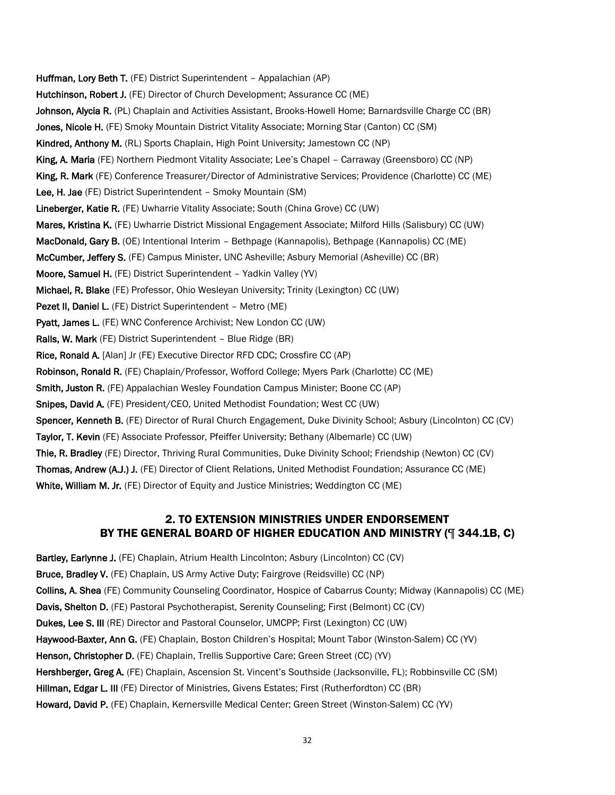Huffman, Lory Beth T. (FE) District Superintendent – Appalachian (AP) Hutchinson, Robert J. (FE) Director of Church Development; Assurance CC (ME) Johnson, Alycia R. (PL) Chaplain and Activities Assistant, Brooks-Howell Home; Barnardsville Charge CC (BR) Jones, Nicole H. (FE) Smoky Mountain District Vitality Associate; Morning Star (Canton) CC (SM) Kindred, Anthony M. (RL) Sports Chaplain, High Point University; Jamestown CC (NP) King, A. Maria (FE) Northern Piedmont Vitality Associate; Lee's Chapel – Carraway (Greensboro) CC (NP) King, R. Mark (FE) Conference Treasurer/Director of Administrative Services; Providence (Charlotte) CC (ME) Lee, H. Jae (FE) District Superintendent – Smoky Mountain (SM) Lineberger, Katie R. (FE) Uwharrie Vitality Associate; South (China Grove) CC (UW) Mares, Kristina K. (FE) Uwharrie District Missional Engagement Associate; Milford Hills (Salisbury) CC (UW) MacDonald, Gary B. (OE) Intentional Interim – Bethpage (Kannapolis), Bethpage (Kannapolis) CC (ME) McCumber, Jeffery S. (FE) Campus Minister, UNC Asheville; Asbury Memorial (Asheville) CC (BR) Moore, Samuel H. (FE) District Superintendent – Yadkin Valley (YV) Michael, R. Blake (FE) Professor, Ohio Wesleyan University; Trinity (Lexington) CC (UW) Pezet II, Daniel L. (FE) District Superintendent – Metro (ME) Pyatt, James L. (FE) WNC Conference Archivist; New London CC (UW) Ralls, W. Mark (FE) District Superintendent – Blue Ridge (BR) Rice, Ronald A. [Alan] Jr (FE) Executive Director RFD CDC; Crossfire CC (AP) Robinson, Ronald R. (FE) Chaplain/Professor, Wofford College; Myers Park (Charlotte) CC (ME) Smith, Juston R. (FE) Appalachian Wesley Foundation Campus Minister; Boone CC (AP) Snipes, David A. (FE) President/CEO, United Methodist Foundation; West CC (UW) Spencer, Kenneth B. (FE) Director of Rural Church Engagement, Duke Divinity School; Asbury (Lincolnton) CC (CV) Taylor, T. Kevin (FE) Associate Professor, Pfeiffer University; Bethany (Albemarle) CC (UW) Thie, R. Bradley (FE) Director, Thriving Rural Communities, Duke Divinity School; Friendship (Newton) CC (CV) Thomas, Andrew (A.J.) J. (FE) Director of Client Relations, United Methodist Foundation; Assurance CC (ME) White, William M. Jr. (FE) Director of Equity and Justice Ministries; Weddington CC (ME)

#### 2. TO EXTENSION MINISTRIES UNDER ENDORSEMENT BY THE GENERAL BOARD OF HIGHER EDUCATION AND MINISTRY (¶ 344.1B, C)

Bartley, Earlynne J. (FE) Chaplain, Atrium Health Lincolnton; Asbury (Lincolnton) CC (CV) Bruce, Bradley V. (FE) Chaplain, US Army Active Duty; Fairgrove (Reidsville) CC (NP) Collins, A. Shea (FE) Community Counseling Coordinator, Hospice of Cabarrus County; Midway (Kannapolis) CC (ME) Davis, Shelton D. (FE) Pastoral Psychotherapist, Serenity Counseling; First (Belmont) CC (CV) Dukes, Lee S. III (RE) Director and Pastoral Counselor, UMCPP; First (Lexington) CC (UW) Haywood-Baxter, Ann G. (FE) Chaplain, Boston Children's Hospital; Mount Tabor (Winston-Salem) CC (YV) Henson, Christopher D. (FE) Chaplain, Trellis Supportive Care; Green Street (CC) (YV) Hershberger, Greg A. (FE) Chaplain, Ascension St. Vincent's Southside (Jacksonville, FL); Robbinsville CC (SM) Hillman, Edgar L. III (FE) Director of Ministries, Givens Estates; First (Rutherfordton) CC (BR) Howard, David P. (FE) Chaplain, Kernersville Medical Center; Green Street (Winston-Salem) CC (YV)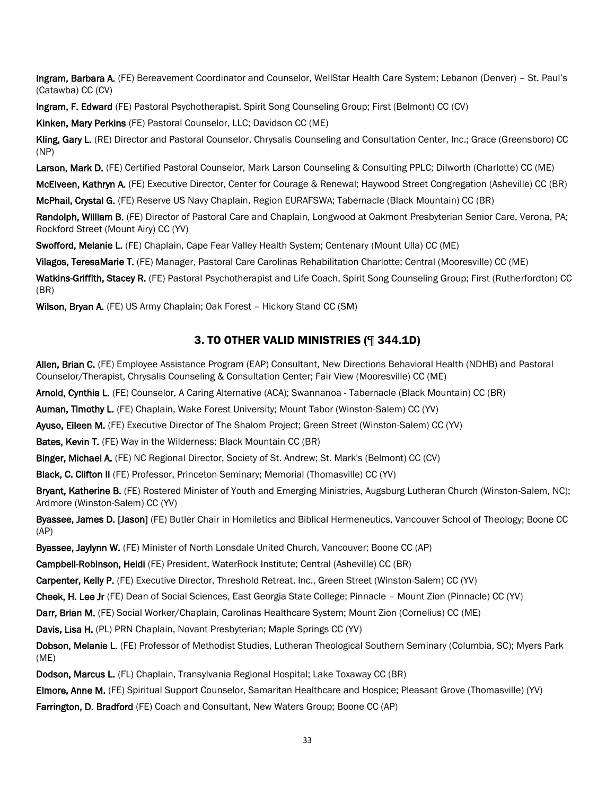Ingram, Barbara A. (FE) Bereavement Coordinator and Counselor, WellStar Health Care System; Lebanon (Denver) – St. Paul's (Catawba) CC (CV)

Ingram, F. Edward (FE) Pastoral Psychotherapist, Spirit Song Counseling Group; First (Belmont) CC (CV)

Kinken, Mary Perkins (FE) Pastoral Counselor, LLC; Davidson CC (ME)

Kling, Gary L. (RE) Director and Pastoral Counselor, Chrysalis Counseling and Consultation Center, Inc.; Grace (Greensboro) CC (NP)

Larson, Mark D. (FE) Certified Pastoral Counselor, Mark Larson Counseling & Consulting PPLC; Dilworth (Charlotte) CC (ME)

McElveen, Kathryn A. (FE) Executive Director, Center for Courage & Renewal; Haywood Street Congregation (Asheville) CC (BR)

McPhail, Crystal G. (FE) Reserve US Navy Chaplain, Region EURAFSWA; Tabernacle (Black Mountain) CC (BR)

Randolph, William B. (FE) Director of Pastoral Care and Chaplain, Longwood at Oakmont Presbyterian Senior Care, Verona, PA; Rockford Street (Mount Airy) CC (YV)

Swofford, Melanie L. (FE) Chaplain, Cape Fear Valley Health System; Centenary (Mount Ulla) CC (ME)

Vilagos, TeresaMarie T. (FE) Manager, Pastoral Care Carolinas Rehabilitation Charlotte; Central (Mooresville) CC (ME)

Watkins-Griffith, Stacey R. (FE) Pastoral Psychotherapist and Life Coach, Spirit Song Counseling Group; First (Rutherfordton) CC (BR)

Wilson, Bryan A. (FE) US Army Chaplain; Oak Forest – Hickory Stand CC (SM)

#### 3. TO OTHER VALID MINISTRIES (¶ 344.1D)

Allen, Brian C. (FE) Employee Assistance Program (EAP) Consultant, New Directions Behavioral Health (NDHB) and Pastoral Counselor/Therapist, Chrysalis Counseling & Consultation Center; Fair View (Mooresville) CC (ME)

Arnold, Cynthia L. (FE) Counselor, A Caring Alternative (ACA); Swannanoa - Tabernacle (Black Mountain) CC (BR)

Auman, Timothy L. (FE) Chaplain, Wake Forest University; Mount Tabor (Winston-Salem) CC (YV)

Ayuso, Eileen M. (FE) Executive Director of The Shalom Project; Green Street (Winston-Salem) CC (YV)

Bates, Kevin T. (FE) Way in the Wilderness; Black Mountain CC (BR)

Binger, Michael A. (FE) NC Regional Director, Society of St. Andrew; St. Mark's (Belmont) CC (CV)

Black, C. Clifton II (FE) Professor, Princeton Seminary; Memorial (Thomasville) CC (YV)

Bryant, Katherine B. (FE) Rostered Minister of Youth and Emerging Ministries, Augsburg Lutheran Church (Winston-Salem, NC); Ardmore (Winston-Salem) CC (YV)

Byassee, James D. [Jason] (FE) Butler Chair in Homiletics and Biblical Hermeneutics, Vancouver School of Theology; Boone CC (AP)

Byassee, Jaylynn W. (FE) Minister of North Lonsdale United Church, Vancouver; Boone CC (AP)

Campbell-Robinson, Heidi (FE) President, WaterRock Institute; Central (Asheville) CC (BR)

Carpenter, Kelly P. (FE) Executive Director, Threshold Retreat, Inc., Green Street (Winston-Salem) CC (YV)

Cheek, H. Lee Jr (FE) Dean of Social Sciences, East Georgia State College; Pinnacle – Mount Zion (Pinnacle) CC (YV)

Darr, Brian M. (FE) Social Worker/Chaplain, Carolinas Healthcare System; Mount Zion (Cornelius) CC (ME)

Davis, Lisa H. (PL) PRN Chaplain, Novant Presbyterian; Maple Springs CC (YV)

Dobson, Melanie L. (FE) Professor of Methodist Studies, Lutheran Theological Southern Seminary (Columbia, SC); Myers Park (ME)

Dodson, Marcus L. (FL) Chaplain, Transylvania Regional Hospital; Lake Toxaway CC (BR)

Elmore, Anne M. (FE) Spiritual Support Counselor, Samaritan Healthcare and Hospice; Pleasant Grove (Thomasville) (YV)

Farrington, D. Bradford (FE) Coach and Consultant, New Waters Group; Boone CC (AP)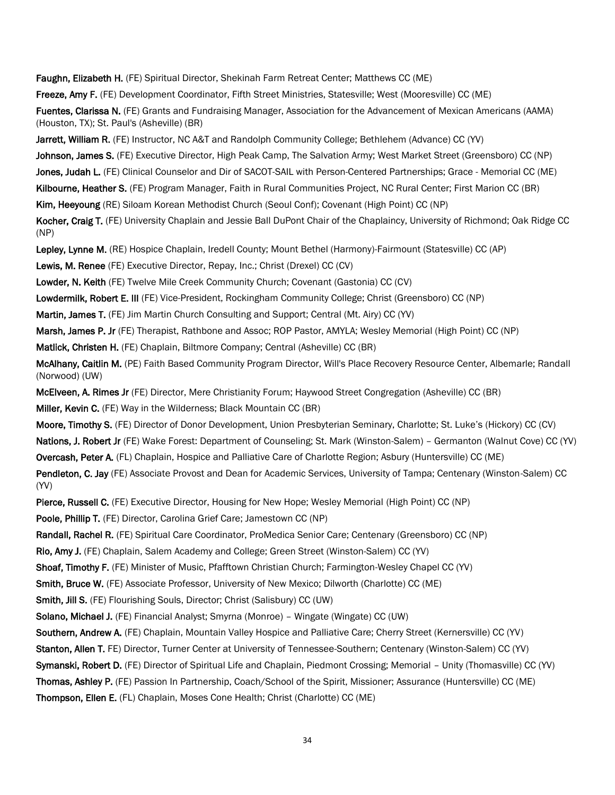Faughn, Elizabeth H. (FE) Spiritual Director, Shekinah Farm Retreat Center; Matthews CC (ME)

Freeze, Amy F. (FE) Development Coordinator, Fifth Street Ministries, Statesville; West (Mooresville) CC (ME)

Fuentes, Clarissa N. (FE) Grants and Fundraising Manager, Association for the Advancement of Mexican Americans (AAMA) (Houston, TX); St. Paul's (Asheville) (BR)

Jarrett, William R. (FE) Instructor, NC A&T and Randolph Community College; Bethlehem (Advance) CC (YV)

Johnson, James S. (FE) Executive Director, High Peak Camp, The Salvation Army; West Market Street (Greensboro) CC (NP)

Jones, Judah L. (FE) Clinical Counselor and Dir of SACOT-SAIL with Person-Centered Partnerships; Grace - Memorial CC (ME)

Kilbourne, Heather S. (FE) Program Manager, Faith in Rural Communities Project, NC Rural Center; First Marion CC (BR)

Kim, Heeyoung (RE) Siloam Korean Methodist Church (Seoul Conf); Covenant (High Point) CC (NP)

Kocher, Craig T. (FE) University Chaplain and Jessie Ball DuPont Chair of the Chaplaincy, University of Richmond; Oak Ridge CC (NP)

Lepley, Lynne M. (RE) Hospice Chaplain, Iredell County; Mount Bethel (Harmony)-Fairmount (Statesville) CC (AP)

Lewis, M. Renee (FE) Executive Director, Repay, Inc.; Christ (Drexel) CC (CV)

Lowder, N. Keith (FE) Twelve Mile Creek Community Church; Covenant (Gastonia) CC (CV)

Lowdermilk, Robert E. III (FE) Vice-President, Rockingham Community College; Christ (Greensboro) CC (NP)

Martin, James T. (FE) Jim Martin Church Consulting and Support; Central (Mt. Airy) CC (YV)

Marsh, James P. Jr (FE) Therapist, Rathbone and Assoc; ROP Pastor, AMYLA; Wesley Memorial (High Point) CC (NP)

Matlick, Christen H. (FE) Chaplain, Biltmore Company; Central (Asheville) CC (BR)

McAlhany, Caitlin M. (PE) Faith Based Community Program Director, Will's Place Recovery Resource Center, Albemarle; Randall (Norwood) (UW)

McElveen, A. Rimes Jr (FE) Director, Mere Christianity Forum; Haywood Street Congregation (Asheville) CC (BR) Miller, Kevin C. (FE) Way in the Wilderness; Black Mountain CC (BR)

Moore, Timothy S. (FE) Director of Donor Development, Union Presbyterian Seminary, Charlotte; St. Luke's (Hickory) CC (CV) Nations, J. Robert Jr (FE) Wake Forest: Department of Counseling; St. Mark (Winston-Salem) – Germanton (Walnut Cove) CC (YV) Overcash, Peter A. (FL) Chaplain, Hospice and Palliative Care of Charlotte Region; Asbury (Huntersville) CC (ME)

Pendleton, C. Jay (FE) Associate Provost and Dean for Academic Services, University of Tampa; Centenary (Winston-Salem) CC (YV)

Pierce, Russell C. (FE) Executive Director, Housing for New Hope; Wesley Memorial (High Point) CC (NP)

Poole, Phillip T. (FE) Director, Carolina Grief Care; Jamestown CC (NP)

Randall, Rachel R. (FE) Spiritual Care Coordinator, ProMedica Senior Care; Centenary (Greensboro) CC (NP)

Rio, Amy J. (FE) Chaplain, Salem Academy and College; Green Street (Winston-Salem) CC (YV)

Shoaf, Timothy F. (FE) Minister of Music, Pfafftown Christian Church; Farmington-Wesley Chapel CC (YV)

Smith, Bruce W. (FE) Associate Professor, University of New Mexico; Dilworth (Charlotte) CC (ME)

Smith, Jill S. (FE) Flourishing Souls, Director; Christ (Salisbury) CC (UW)

Solano, Michael J. (FE) Financial Analyst; Smyrna (Monroe) – Wingate (Wingate) CC (UW)

Southern, Andrew A. (FE) Chaplain, Mountain Valley Hospice and Palliative Care; Cherry Street (Kernersville) CC (YV)

Stanton, Allen T. FE) Director, Turner Center at University of Tennessee-Southern; Centenary (Winston-Salem) CC (YV)

Symanski, Robert D. (FE) Director of Spiritual Life and Chaplain, Piedmont Crossing; Memorial – Unity (Thomasville) CC (YV)

Thomas, Ashley P. (FE) Passion In Partnership, Coach/School of the Spirit, Missioner; Assurance (Huntersville) CC (ME) Thompson, Ellen E. (FL) Chaplain, Moses Cone Health; Christ (Charlotte) CC (ME)